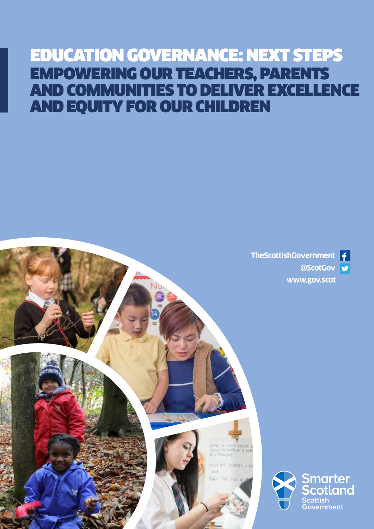# EDUCATION GOVERNANCE: NEXT STEPS EMPOWERING OUR TEACHERS, PARENTS AND COMMUNITIES TO DELIVER EXCELLENCE AND EQUITY FOR OUR CHILDREN





**Impactor PAGE Vount 1**<br>District by HOB an IN 1994

KEITAT SHAPPEY IN

Yake michatt a

 $24.1$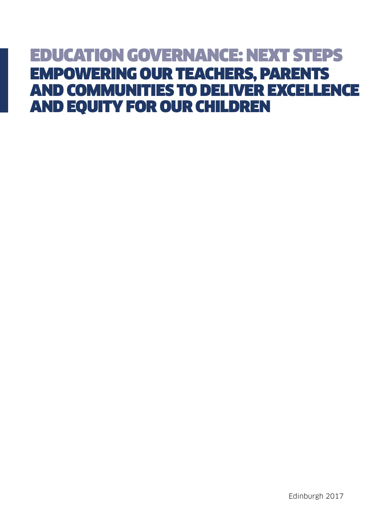# EDUCATION GOVERNANCE: NEXT STEPS EMPOWERING OUR TEACHERS, PARENTS AND COMMUNITIES TO DELIVER EXCELLENCE AND EQUITY FOR OUR CHILDREN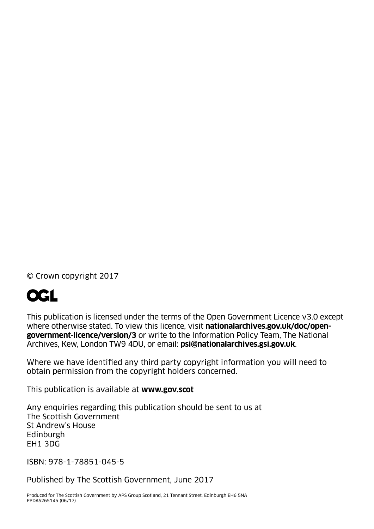© Crown copyright 2017

# **OGL**

This publication is licensed under the terms of the Open Government Licence v3.0 except where otherwise stated. To view this licence, visit **[nationalarchives.gov.uk/doc/open](http://nationalarchives.gov.uk/doc/open-government-licence/version/3)[government-licence/version/3](http://nationalarchives.gov.uk/doc/open-government-licence/version/3)** or write to the Information Policy Team, The National Archives, Kew, London TW9 4DU, or email: **psi@nationalarchives.gsi.gov.uk**.

Where we have identified any third party copyright information you will need to obtain permission from the copyright holders concerned.

This publication is available at **[www.gov.scot](http://www.gov.scot)**

Any enquiries regarding this publication should be sent to us at The Scottish Government St Andrew's House Edinburgh EH1 3DG

ISBN: 978-1-78851-045-5

Published by The Scottish Government, June 2017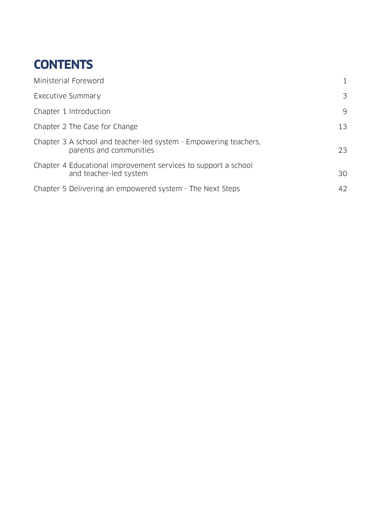## **CONTENTS**

| Ministerial Foreword                                                                        |    |
|---------------------------------------------------------------------------------------------|----|
| Executive Summary                                                                           | 3  |
| Chapter 1 Introduction                                                                      | 9  |
| Chapter 2 The Case for Change                                                               | 13 |
| Chapter 3 A school and teacher-led system - Empowering teachers,<br>parents and communities | 23 |
| Chapter 4 Educational improvement services to support a school<br>and teacher-led system    | 30 |
| Chapter 5 Delivering an empowered system - The Next Steps                                   | 42 |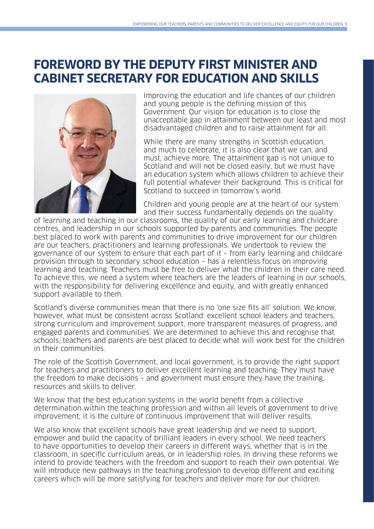## **FOREWORD BY THE DEPUTY FIRST MINISTER AND CABINET SECRETARY FOR EDUCATION AND SKILLS**



Improving the education and life chances of our children and young people is the defining mission of this Government. Our vision for education is to close the unacceptable gap in attainment between our least and most disadvantaged children and to raise attainment for all.

While there are many strengths in Scottish education, and much to celebrate, it is also clear that we can, and must, achieve more. The attainment gap is not unique to Scotland and will not be closed easily, but we must have an education system which allows children to achieve their full potential whatever their background. This is critical for Scotland to succeed in tomorrow's world.

Children and young people are at the heart of our system and their success fundamentally depends on the quality

of learning and teaching in our classrooms, the quality of our early learning and childcare centres, and leadership in our schools supported by parents and communities. The people best placed to work with parents and communities to drive improvement for our children are our teachers, practitioners and learning professionals. We undertook to review the governance of our system to ensure that each part of it – from early learning and childcare provision through to secondary school education – has a relentless focus on improving learning and teaching. Teachers must be free to deliver what the children in their care need. To achieve this, we need a system where teachers are the leaders of learning in our schools, with the responsibility for delivering excellence and equity, and with greatly enhanced support available to them.

Scotland's diverse communities mean that there is no 'one size fits all' solution. We know, however, what must be consistent across Scotland: excellent school leaders and teachers, strong curriculum and improvement support, more transparent measures of progress, and engaged parents and communities. We are determined to achieve this and recognise that schools, teachers and parents are best placed to decide what will work best for the children in their communities.

The role of the Scottish Government, and local government, is to provide the right support for teachers and practitioners to deliver excellent learning and teaching. They must have the freedom to make decisions – and government must ensure they have the training, resources and skills to deliver.

We know that the best education systems in the world benefit from a collective determination within the teaching profession and within all levels of government to drive improvement; it is the culture of continuous improvement that will deliver results.

We also know that excellent schools have great leadership and we need to support. empower and build the capacity of brilliant leaders in every school. We need teachers to have opportunities to develop their careers in different ways, whether that is in the classroom, in specific curriculum areas, or in leadership roles. In driving these reforms we intend to provide teachers with the freedom and support to reach their own potential. We will introduce new pathways in the teaching profession to develop different and exciting careers which will be more satisfying for teachers and deliver more for our children.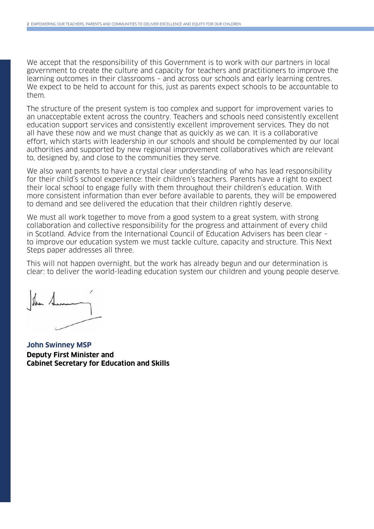We accept that the responsibility of this Government is to work with our partners in local government to create the culture and capacity for teachers and practitioners to improve the learning outcomes in their classrooms – and across our schools and early learning centres. We expect to be held to account for this, just as parents expect schools to be accountable to them.

The structure of the present system is too complex and support for improvement varies to an unacceptable extent across the country. Teachers and schools need consistently excellent education support services and consistently excellent improvement services. They do not all have these now and we must change that as quickly as we can. It is a collaborative effort, which starts with leadership in our schools and should be complemented by our local authorities and supported by new regional improvement collaboratives which are relevant to, designed by, and close to the communities they serve.

We also want parents to have a crystal clear understanding of who has lead responsibility for their child's school experience: their children's teachers. Parents have a right to expect their local school to engage fully with them throughout their children's education. With more consistent information than ever before available to parents, they will be empowered to demand and see delivered the education that their children rightly deserve.

We must all work together to move from a good system to a great system, with strong collaboration and collective responsibility for the progress and attainment of every child in Scotland. Advice from the International Council of Education Advisers has been clear – to improve our education system we must tackle culture, capacity and structure. This Next Steps paper addresses all three.

This will not happen overnight, but the work has already begun and our determination is clear: to deliver the world-leading education system our children and young people deserve.

**John Swinney MSP Deputy First Minister and Cabinet Secretary for Education and Skills**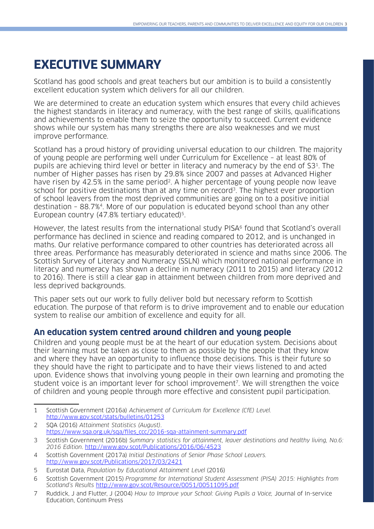## **EXECUTIVE SUMMARY**

Scotland has good schools and great teachers but our ambition is to build a consistently excellent education system which delivers for all our children.

We are determined to create an education system which ensures that every child achieves the highest standards in literacy and numeracy, with the best range of skills, qualifications and achievements to enable them to seize the opportunity to succeed. Current evidence shows while our system has many strengths there are also weaknesses and we must improve performance.

Scotland has a proud history of providing universal education to our children. The majority of young people are performing well under Curriculum for Excellence – at least 80% of pupils are achieving third level or better in literacy and numeracy by the end of S31. The number of Higher passes has risen by 29.8% since 2007 and passes at Advanced Higher have risen by 42.5% in the same period<sup>2</sup>. A higher percentage of young people now leave school for positive destinations than at any time on record<sup>3</sup>. The highest ever proportion of school leavers from the most deprived communities are going on to a positive initial destination – 88.7%4. More of our population is educated beyond school than any other European country (47.8% tertiary educated)<sup>5</sup>.

However, the latest results from the international study PISA<sup>6</sup> found that Scotland's overall performance has declined in science and reading compared to 2012, and is unchanged in maths. Our relative performance compared to other countries has deteriorated across all three areas. Performance has measurably deteriorated in science and maths since 2006. The Scottish Survey of Literacy and Numeracy (SSLN) which monitored national performance in literacy and numeracy has shown a decline in numeracy (2011 to 2015) and literacy (2012 to 2016). There is still a clear gap in attainment between children from more deprived and less deprived backgrounds.

This paper sets out our work to fully deliver bold but necessary reform to Scottish education. The purpose of that reform is to drive improvement and to enable our education system to realise our ambition of excellence and equity for all.

#### **An education system centred around children and young people**

Children and young people must be at the heart of our education system. Decisions about their learning must be taken as close to them as possible by the people that they know and where they have an opportunity to influence those decisions. This is their future so they should have the right to participate and to have their views listened to and acted upon. Evidence shows that involving young people in their own learning and promoting the student voice is an important lever for school improvement<sup>7</sup>. We will strengthen the voice of children and young people through more effective and consistent pupil participation.

<sup>1</sup> Scottish Government (2016a) Achievement of Curriculum for Excellence (CfE) Level. <http://www.gov.scot/stats/bulletins/01253>

<sup>2</sup> SQA (2016) Attainment Statistics (August). [https://www.sqa.org.uk/sqa/files\\_ccc/2016-sqa-attainment-summary.pdf](https://www.sqa.org.uk/sqa/files_ccc/2016-sqa-attainment-summary.pdf)

<sup>3</sup> Scottish Government (2016b) Summary statistics for attainment, leaver destinations and healthy living, No.6: 2016 Edition.<http://www.gov.scot/Publications/2016/06/4523>

<sup>4</sup> Scottish Government (2017a) Initial Destinations of Senior Phase School Leavers. <http://www.gov.scot/Publications/2017/03/2421>

<sup>5</sup> Eurostat Data, Population by Educational Attainment Level (2016)

<sup>6</sup> Scottish Government (2015) Programme for International Student Assessment (PISA) 2015: Highlights from Scotland's Results <http://www.gov.scot/Resource/0051/00511095.pdf>

<sup>7</sup> Ruddick, J and Flutter, J (2004) How to Improve your School: Giving Pupils a Voice, Journal of In-service Education, Continuum Press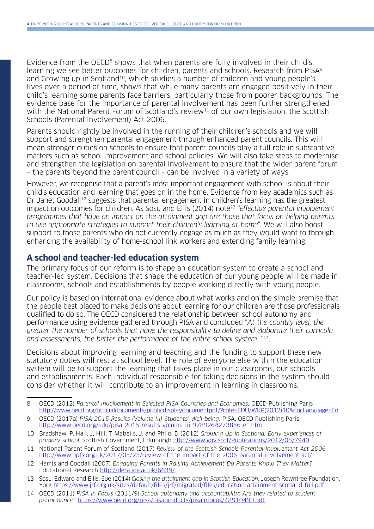Evidence from the OECD<sup>8</sup> shows that when parents are fully involved in their child's learning we see better outcomes for children, parents and schools. Research from PISA<sup>9</sup> and Growing up in Scotland<sup>10</sup>, which studies a number of children and young people's lives over a period of time, shows that while many parents are engaged positively in their child's learning some parents face barriers; particularly those from poorer backgrounds. The evidence base for the importance of parental involvement has been further strengthened with the National Parent Forum of Scotland's review<sup>11</sup> of our own legislation, the Scottish Schools (Parental Involvement) Act 2006.

Parents should rightly be involved in the running of their children's schools and we will support and strengthen parental engagement through enhanced parent councils. This will mean stronger duties on schools to ensure that parent councils play a full role in substantive matters such as school improvement and school policies. We will also take steps to modernise and strengthen the legislation on parental involvement to ensure that the wider parent forum – the parents beyond the parent council – can be involved in a variety of ways.

However, we recognise that a parent's most important engagement with school is about their child's education and learning that goes on in the home. Evidence from key academics such as Dr Janet Goodall<sup>12</sup> suggests that parental engagement in children's learning has the greatest impact on outcomes for children. As Sosu and Ellis (2014) note<sup>13</sup> "effective parental involvement programmes that have an impact on the attainment gap are those that focus on helping parents to use appropriate strategies to support their children's learning at home". We will also boost support to those parents who do not currently engage as much as they would want to through enhancing the availability of home-school link workers and extending family learning.

#### **A school and teacher-led education system**

The primary focus of our reform is to shape an education system to create a school and teacher-led system. Decisions that shape the education of our young people will be made in classrooms, schools and establishments by people working directly with young people.

Our policy is based on international evidence about what works and on the simple premise that the people best placed to make decisions about learning for our children are those professionals qualified to do so. The OECD considered the relationship between school autonomy and performance using evidence gathered through PISA and concluded "At the country level, the greater the number of schools that have the responsibility to define and elaborate their curricula and assessments, the better the performance of the entire school system…"14.

Decisions about improving learning and teaching and the funding to support these new statutory duties will rest at school level. The role of everyone else within the education system will be to support the learning that takes place in our classrooms, our schools and establishments. Each individual responsible for taking decisions in the system should consider whether it will contribute to an improvement in learning in classrooms.

<sup>8</sup> OECD (2012) Parental Involvement in Selected PISA Countries and Economies, OECD Publishing Paris [http://www.oecd.org/officialdocuments/publicdisplaydocumentpdf/?cote=EDU/WKP\(2012\)10&docLanguage=En](http://www.oecd.org/officialdocuments/publicdisplaydocumentpdf/?cote=EDU/WKP(2012)10&docLanguage=En)

<sup>9</sup> OECD (2017a) PISA 2015 Results (Volume III) Students' Well-being, PISA, OECD Publishing Paris <http://www.oecd.org/edu/pisa-2015-results-volume-iii-9789264273856-en.htm>

<sup>10</sup> Bradshaw, P, Hall, J, Hill, T, Mabelis, J, and Philo, D (2012) Growing Up in Scotland: Early experiences of primary school, Scottish Government, Edinburgh <http://www.gov.scot/Publications/2012/05/7940>

<sup>11</sup> National Parent Forum of Scotland (2017) Review of the Scottish Schools Parental Involvement Act 2006 <http://www.npfs.org.uk/2017/05/23/review-of-the-impact-of-the-2006-parental-involvement-act/>

<sup>12</sup> Harris and Goodall (2007) Engaging Parents in Raising Achievement Do Parents Know They Matter? Educational Research <http://dera.ioe.ac.uk/6639/>

<sup>13</sup> Sosu, Edward and Ellis, Sue (2014) Closing the attainment gap in Scottish Education, Joseph Rowntree Foundation, York<https://www.jrf.org.uk/sites/default/files/jrf/migrated/files/education-attainment-scotland-full.pdf>

<sup>14</sup> OECD (2011) PISA in Focus (2011/9) School autonomy and accountability: Are they related to student performance? <https://www.oecd.org/pisa/pisaproducts/pisainfocus/48910490.pdf>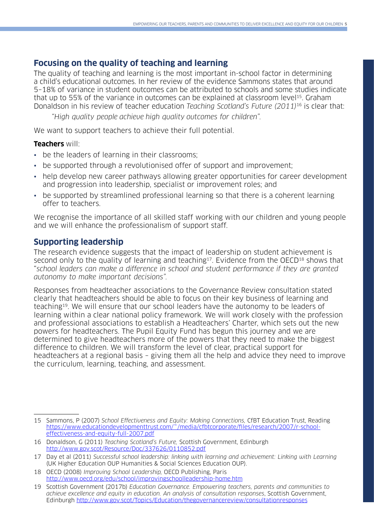## **Focusing on the quality of teaching and learning**

The quality of teaching and learning is the most important in-school factor in determining a child's educational outcomes. In her review of the evidence Sammons states that around 5–18% of variance in student outcomes can be attributed to schools and some studies indicate that up to 55% of the variance in outcomes can be explained at classroom level<sup>15</sup>. Graham Donaldson in his review of teacher education Teaching Scotland's Future (2011)<sup>16</sup> is clear that:

"High quality people achieve high quality outcomes for children".

We want to support teachers to achieve their full potential.

#### **Teachers** will:

- be the leaders of learning in their classrooms;
- be supported through a revolutionised offer of support and improvement;
- help develop new career pathways allowing greater opportunities for career development and progression into leadership, specialist or improvement roles; and
- be supported by streamlined professional learning so that there is a coherent learning offer to teachers.

We recognise the importance of all skilled staff working with our children and young people and we will enhance the professionalism of support staff.

## **Supporting leadership**

The research evidence suggests that the impact of leadership on student achievement is second only to the quality of learning and teaching<sup>17</sup>. Evidence from the OECD<sup>18</sup> shows that "school leaders can make a difference in school and student performance if they are granted autonomy to make important decisions".

Responses from headteacher associations to the Governance Review consultation stated clearly that headteachers should be able to focus on their key business of learning and teaching19. We will ensure that our school leaders have the autonomy to be leaders of learning within a clear national policy framework. We will work closely with the profession and professional associations to establish a Headteachers' Charter, which sets out the new powers for headteachers. The Pupil Equity Fund has begun this journey and we are determined to give headteachers more of the powers that they need to make the biggest difference to children. We will transform the level of clear, practical support for headteachers at a regional basis – giving them all the help and advice they need to improve the curriculum, learning, teaching, and assessment.

<sup>15</sup> Sammons, P (2007) School Effectiveness and Equity: Making Connections, CfBT Education Trust, Reading [https://www.educationdevelopmenttrust.com/~/media/cfbtcorporate/files/research/2007/r-school](https://www.educationdevelopmenttrust.com/~/media/cfbtcorporate/files/research/2007/r-school-effectiveness-and-equity-full-2007.pdf)[effectiveness-and-equity-full-2007.pdf](https://www.educationdevelopmenttrust.com/~/media/cfbtcorporate/files/research/2007/r-school-effectiveness-and-equity-full-2007.pdf)

<sup>16</sup> Donaldson, G (2011) Teaching Scotland's Future, Scottish Government, Edinburgh <http://www.gov.scot/Resource/Doc/337626/0110852.pdf>

<sup>17</sup> Day et al (2011) Successful school leadership: linking with learning and achievement: Linking with Learning (UK Higher Education OUP Humanities & Social Sciences Education OUP).

<sup>18</sup> OECD (2008) Improving School Leadership, OECD Publishing, Paris <http://www.oecd.org/edu/school/improvingschoolleadership-home.htm>

<sup>19</sup> Scottish Government (2017b) Education Governance. Empowering teachers, parents and communities to achieve excellence and equity in education. An analysis of consultation responses, Scottish Government, Edinburgh <http://www.gov.scot/Topics/Education/thegovernancereview/consultationresponses>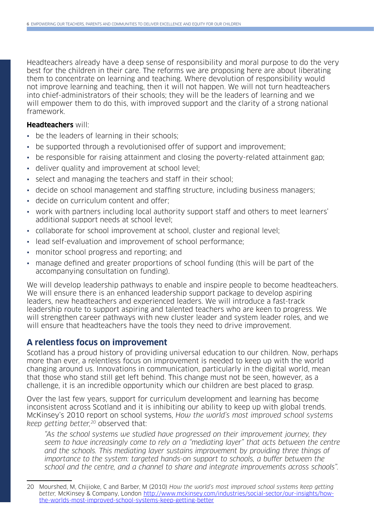Headteachers already have a deep sense of responsibility and moral purpose to do the very best for the children in their care. The reforms we are proposing here are about liberating them to concentrate on learning and teaching. Where devolution of responsibility would not improve learning and teaching, then it will not happen. We will not turn headteachers into chief-administrators of their schools; they will be the leaders of learning and we will empower them to do this, with improved support and the clarity of a strong national framework.

#### **Headteachers** will:

- be the leaders of learning in their schools;
- be supported through a revolutionised offer of support and improvement;
- be responsible for raising attainment and closing the poverty-related attainment gap;
- deliver quality and improvement at school level;
- select and managing the teachers and staff in their school;
- decide on school management and staffing structure, including business managers;
- decide on curriculum content and offer;
- work with partners including local authority support staff and others to meet learners' additional support needs at school level;
- collaborate for school improvement at school, cluster and regional level;
- lead self-evaluation and improvement of school performance;
- monitor school progress and reporting; and
- manage defined and greater proportions of school funding (this will be part of the accompanying consultation on funding).

We will develop leadership pathways to enable and inspire people to become headteachers. We will ensure there is an enhanced leadership support package to develop aspiring leaders, new headteachers and experienced leaders. We will introduce a fast-track leadership route to support aspiring and talented teachers who are keen to progress. We will strengthen career pathways with new cluster leader and system leader roles, and we will ensure that headteachers have the tools they need to drive improvement.

## **A relentless focus on improvement**

Scotland has a proud history of providing universal education to our children. Now, perhaps more than ever, a relentless focus on improvement is needed to keep up with the world changing around us. Innovations in communication, particularly in the digital world, mean that those who stand still get left behind. This change must not be seen, however, as a challenge, it is an incredible opportunity which our children are best placed to grasp.

Over the last few years, support for curriculum development and learning has become inconsistent across Scotland and it is inhibiting our ability to keep up with global trends. McKinsey's 2010 report on school systems, How the world's most improved school systems keep getting better,<sup>20</sup> observed that:

"As the school systems we studied have progressed on their improvement journey, they seem to have increasingly come to rely on a "mediating layer" that acts between the centre and the schools. This mediating layer sustains improvement by providing three things of importance to the system: targeted hands-on support to schools, a buffer between the school and the centre, and a channel to share and integrate improvements across schools".

<sup>20</sup> Mourshed, M, Chijioke, C and Barber, M (2010) How the world's most improved school systems keep getting better, McKinsey & Company, London [http://www.mckinsey.com/industries/social-sector/our-insights/how](http://www.mckinsey.com/industries/social-sector/our-insights/how-the-worlds-most-improved-school-systems-keep-getting-better)[the-worlds-most-improved-school-systems-keep-getting-better](http://www.mckinsey.com/industries/social-sector/our-insights/how-the-worlds-most-improved-school-systems-keep-getting-better)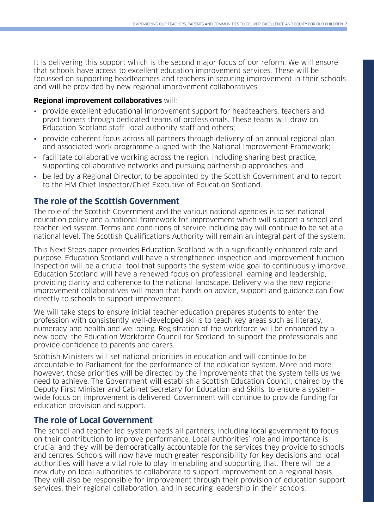It is delivering this support which is the second major focus of our reform. We will ensure that schools have access to excellent education improvement services. These will be focussed on supporting headteachers and teachers in securing improvement in their schools and will be provided by new regional improvement collaboratives.

#### **Regional improvement collaboratives** will:

- provide excellent educational improvement support for headteachers, teachers and practitioners through dedicated teams of professionals. These teams will draw on Education Scotland staff, local authority staff and others;
- provide coherent focus across all partners through delivery of an annual regional plan and associated work programme aligned with the National Improvement Framework;
- facilitate collaborative working across the region, including sharing best practice, supporting collaborative networks and pursuing partnership approaches; and
- be led by a Regional Director, to be appointed by the Scottish Government and to report to the HM Chief Inspector/Chief Executive of Education Scotland.

## **The role of the Scottish Government**

The role of the Scottish Government and the various national agencies is to set national education policy and a national framework for improvement which will support a school and teacher-led system. Terms and conditions of service including pay will continue to be set at a national level. The Scottish Qualifications Authority will remain an integral part of the system.

This Next Steps paper provides Education Scotland with a significantly enhanced role and purpose. Education Scotland will have a strengthened inspection and improvement function. Inspection will be a crucial tool that supports the system-wide goal to continuously improve. Education Scotland will have a renewed focus on professional learning and leadership, providing clarity and coherence to the national landscape. Delivery via the new regional improvement collaboratives will mean that hands on advice, support and guidance can flow directly to schools to support improvement.

We will take steps to ensure initial teacher education prepares students to enter the profession with consistently well-developed skills to teach key areas such as literacy, numeracy and health and wellbeing. Registration of the workforce will be enhanced by a new body, the Education Workforce Council for Scotland, to support the professionals and provide confidence to parents and carers.

Scottish Ministers will set national priorities in education and will continue to be accountable to Parliament for the performance of the education system. More and more, however, those priorities will be directed by the improvements that the system tells us we need to achieve. The Government will establish a Scottish Education Council, chaired by the Deputy First Minister and Cabinet Secretary for Education and Skills, to ensure a systemwide focus on improvement is delivered. Government will continue to provide funding for education provision and support.

### **The role of Local Government**

The school and teacher-led system needs all partners, including local government to focus on their contribution to improve performance. Local authorities' role and importance is crucial and they will be democratically accountable for the services they provide to schools and centres. Schools will now have much greater responsibility for key decisions and local authorities will have a vital role to play in enabling and supporting that. There will be a new duty on local authorities to collaborate to support improvement on a regional basis. They will also be responsible for improvement through their provision of education support services, their regional collaboration, and in securing leadership in their schools.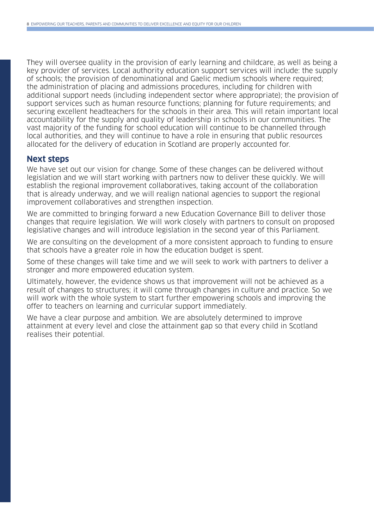They will oversee quality in the provision of early learning and childcare, as well as being a key provider of services. Local authority education support services will include: the supply of schools; the provision of denominational and Gaelic medium schools where required; the administration of placing and admissions procedures, including for children with additional support needs (including independent sector where appropriate); the provision of support services such as human resource functions; planning for future requirements; and securing excellent headteachers for the schools in their area. This will retain important local accountability for the supply and quality of leadership in schools in our communities. The vast majority of the funding for school education will continue to be channelled through local authorities, and they will continue to have a role in ensuring that public resources allocated for the delivery of education in Scotland are properly accounted for.

#### **Next steps**

We have set out our vision for change. Some of these changes can be delivered without legislation and we will start working with partners now to deliver these quickly. We will establish the regional improvement collaboratives, taking account of the collaboration that is already underway, and we will realign national agencies to support the regional improvement collaboratives and strengthen inspection.

We are committed to bringing forward a new Education Governance Bill to deliver those changes that require legislation. We will work closely with partners to consult on proposed legislative changes and will introduce legislation in the second year of this Parliament.

We are consulting on the development of a more consistent approach to funding to ensure that schools have a greater role in how the education budget is spent.

Some of these changes will take time and we will seek to work with partners to deliver a stronger and more empowered education system.

Ultimately, however, the evidence shows us that improvement will not be achieved as a result of changes to structures; it will come through changes in culture and practice. So we will work with the whole system to start further empowering schools and improving the offer to teachers on learning and curricular support immediately.

We have a clear purpose and ambition. We are absolutely determined to improve attainment at every level and close the attainment gap so that every child in Scotland realises their potential.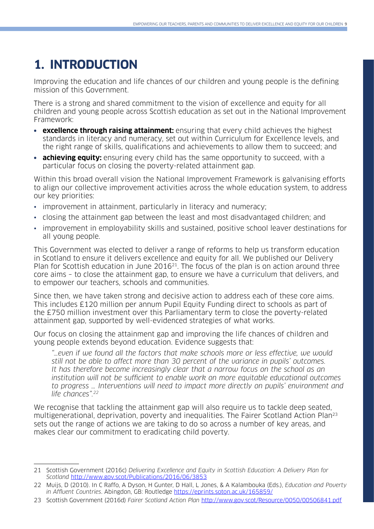## **1. INTRODUCTION**

Improving the education and life chances of our children and young people is the defining mission of this Government.

There is a strong and shared commitment to the vision of excellence and equity for all children and young people across Scottish education as set out in the National Improvement Framework:

- **excellence through raising attainment:** ensuring that every child achieves the highest standards in literacy and numeracy, set out within Curriculum for Excellence levels, and the right range of skills, qualifications and achievements to allow them to succeed; and
- **• achieving equity:** ensuring every child has the same opportunity to succeed, with a particular focus on closing the poverty-related attainment gap.

Within this broad overall vision the National Improvement Framework is galvanising efforts to align our collective improvement activities across the whole education system, to address our key priorities:

- improvement in attainment, particularly in literacy and numeracy;
- closing the attainment gap between the least and most disadvantaged children; and
- improvement in employability skills and sustained, positive school leaver destinations for all young people.

This Government was elected to deliver a range of reforms to help us transform education in Scotland to ensure it delivers excellence and equity for all. We published our Delivery Plan for Scottish education in June 2016 $^{21}$ . The focus of the plan is on action around three core aims – to close the attainment gap, to ensure we have a curriculum that delivers, and to empower our teachers, schools and communities.

Since then, we have taken strong and decisive action to address each of these core aims. This includes £120 million per annum Pupil Equity Funding direct to schools as part of the £750 million investment over this Parliamentary term to close the poverty-related attainment gap, supported by well-evidenced strategies of what works.

Our focus on closing the attainment gap and improving the life chances of children and young people extends beyond education. Evidence suggests that:

"…even if we found all the factors that make schools more or less effective, we would still not be able to affect more than 30 percent of the variance in pupils' outcomes. It has therefore become increasingly clear that a narrow focus on the school as an institution will not be sufficient to enable work on more equitable educational outcomes to progress … Interventions will need to impact more directly on pupils' environment and life chances".22

We recognise that tackling the attainment gap will also require us to tackle deep seated, multigenerational, deprivation, poverty and inequalities. The Fairer Scotland Action Plan<sup>23</sup> sets out the range of actions we are taking to do so across a number of key areas, and makes clear our commitment to eradicating child poverty.

<sup>21</sup> Scottish Government (2016c) Delivering Excellence and Equity in Scottish Education: A Delivery Plan for Scotland <http://www.gov.scot/Publications/2016/06/3853>

<sup>22</sup> Muijs, D (2010). In C Raffo, A Dyson, H Gunter, D Hall, L Jones, & A Kalambouka (Eds.), Education and Poverty in Affluent Countries. Abingdon, GB: Routledge<https://eprints.soton.ac.uk/165859/>

<sup>23</sup> Scottish Government (2016d) Fairer Scotland Action Plan <http://www.gov.scot/Resource/0050/00506841.pdf>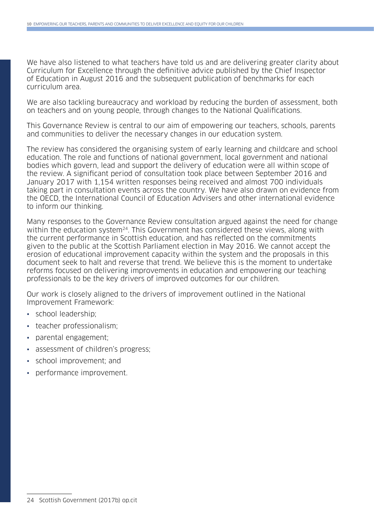We have also listened to what teachers have told us and are delivering greater clarity about Curriculum for Excellence through the definitive advice published by the Chief Inspector of Education in August 2016 and the subsequent publication of benchmarks for each curriculum area.

We are also tackling bureaucracy and workload by reducing the burden of assessment, both on teachers and on young people, through changes to the National Qualifications.

This Governance Review is central to our aim of empowering our teachers, schools, parents and communities to deliver the necessary changes in our education system.

The review has considered the organising system of early learning and childcare and school education. The role and functions of national government, local government and national bodies which govern, lead and support the delivery of education were all within scope of the review. A significant period of consultation took place between September 2016 and January 2017 with 1,154 written responses being received and almost 700 individuals taking part in consultation events across the country. We have also drawn on evidence from the OECD, the International Council of Education Advisers and other international evidence to inform our thinking.

Many responses to the Governance Review consultation argued against the need for change within the education system<sup>24</sup>. This Government has considered these views, along with the current performance in Scottish education, and has reflected on the commitments given to the public at the Scottish Parliament election in May 2016. We cannot accept the erosion of educational improvement capacity within the system and the proposals in this document seek to halt and reverse that trend. We believe this is the moment to undertake reforms focused on delivering improvements in education and empowering our teaching professionals to be the key drivers of improved outcomes for our children.

Our work is closely aligned to the drivers of improvement outlined in the National Improvement Framework:

- school leadership;
- teacher professionalism;
- parental engagement;
- assessment of children's progress;
- school improvement; and
- performance improvement.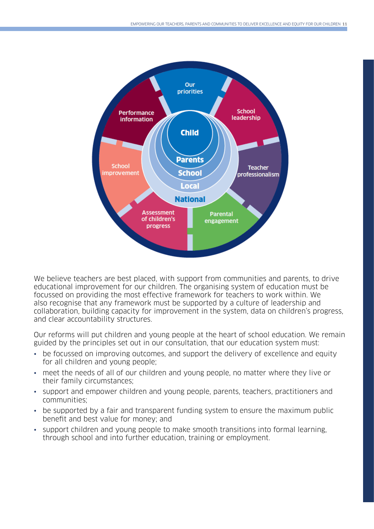Draft 9 June 2017 OFFICIAL: SENSITIVE



we believe teachers are best placed, with support from communities and parents, to drive<br>educational improvement for our children. The organising system of education must be drive educational improvement for our children. The organising system of education focussed on providing the most effective framework for teachers to work within. We nocossed on providing the most effective framework for teachers to work within. We<br>also recognise that any framework must be supported by a culture of leadership and with the construction. We also recognize that any framework must be supported by a culture of reductional para<br>Inding canacity for improvement in the system data on children's progress collaboration, building capacity for improvement in the system, data on children's progress,<br>and clear accountability structures on children's progress, and clear accountability structures. We believe teachers are best placed, with support from communities and parents, to drive and clear accountability structures.

guided by the principles set out in our consultation, that our education system must: Our reforms will put children and young people at the heart of school education. We remain

- be focussed on improving outcomes, and support the delivery of excellence and equity for all children and young people;
- meet the needs of all of our children and young people, no matter where they live or<br>their family circumstances: and  $e^{i\theta}$ , and  $e^{i\theta}$  and  $e^{i\theta}$  and  $e^{i\theta}$  people,  $e^{i\theta}$  and  $e^{i\theta}$ their family circumstances;
- support and empower children and young people, parents, teachers, practitioners and empower children and young people, parents, teachers, practitioners and empower children and young people, parents, teachers, practition communities;
- be supported by a fair and transparent funding system to ensure the maximum public<br>hanget and best value for manou and benefit and best value for money; and
- support children and young people to make smooth transitions into formal learning, through school and into further education, training or employment.

 $\sim$  support children and young people to make smooth transitions into formal  $\sim$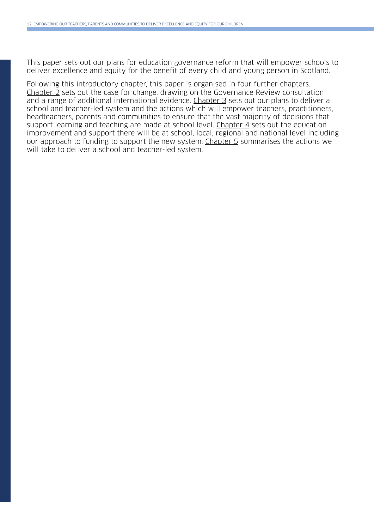This paper sets out our plans for education governance reform that will empower schools to deliver excellence and equity for the benefit of every child and young person in Scotland.

Following this introductory chapter, this paper is organised in four further chapters. Chapter 2 sets out the case for change, drawing on the Governance Review consultation and a range of additional international evidence. Chapter 3 sets out our plans to deliver a school and teacher-led system and the actions which will empower teachers, practitioners, headteachers, parents and communities to ensure that the vast majority of decisions that support learning and teaching are made at school level. Chapter 4 sets out the education improvement and support there will be at school, local, regional and national level including our approach to funding to support the new system. Chapter 5 summarises the actions we will take to deliver a school and teacher-led system.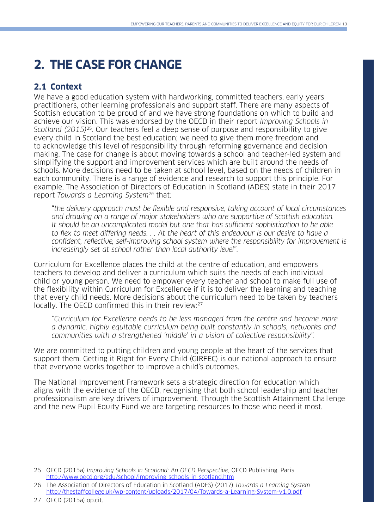## **2. THE CASE FOR CHANGE**

## **2.1 Context**

We have a good education system with hardworking, committed teachers, early years practitioners, other learning professionals and support staff. There are many aspects of Scottish education to be proud of and we have strong foundations on which to build and achieve our vision. This was endorsed by the OECD in their report Improving Schools in Scotland (2015)<sup>25</sup>. Our teachers feel a deep sense of purpose and responsibility to give every child in Scotland the best education; we need to give them more freedom and to acknowledge this level of responsibility through reforming governance and decision making. The case for change is about moving towards a school and teacher-led system and simplifying the support and improvement services which are built around the needs of schools. More decisions need to be taken at school level, based on the needs of children in each community. There is a range of evidence and research to support this principle. For example, The Association of Directors of Education in Scotland (ADES) state in their 2017 report Towards a Learning System<sup>26</sup> that:

"the delivery approach must be flexible and responsive, taking account of local circumstances and drawing on a range of major stakeholders who are supportive of Scottish education. It should be an uncomplicated model but one that has sufficient sophistication to be able to flex to meet differing needs. . . At the heart of this endeavour is our desire to have a confident, reflective, self-improving school system where the responsibility for improvement is increasingly set at school rather than local authority level".

Curriculum for Excellence places the child at the centre of education, and empowers teachers to develop and deliver a curriculum which suits the needs of each individual child or young person. We need to empower every teacher and school to make full use of the flexibility within Curriculum for Excellence if it is to deliver the learning and teaching that every child needs. More decisions about the curriculum need to be taken by teachers locally. The OECD confirmed this in their review:27

"Curriculum for Excellence needs to be less managed from the centre and become more a dynamic, highly equitable curriculum being built constantly in schools, networks and communities with a strengthened 'middle' in a vision of collective responsibility".

We are committed to putting children and young people at the heart of the services that support them. Getting it Right for Every Child (GIRFEC) is our national approach to ensure that everyone works together to improve a child's outcomes.

The National Improvement Framework sets a strategic direction for education which aligns with the evidence of the OECD, recognising that both school leadership and teacher professionalism are key drivers of improvement. Through the Scottish Attainment Challenge and the new Pupil Equity Fund we are targeting resources to those who need it most.

<sup>25</sup> OECD (2015a) Improving Schools in Scotland: An OECD Perspective, OECD Publishing, Paris <http://www.oecd.org/edu/school/improving-schools-in-scotland.htm>

<sup>26</sup> The Association of Directors of Education in Scotland (ADES) (2017) Towards a Learning System <http://thestaffcollege.uk/wp-content/uploads/2017/04/Towards-a-Learning-System-v1.0.pdf>

<sup>27</sup> OECD (2015a) op.cit.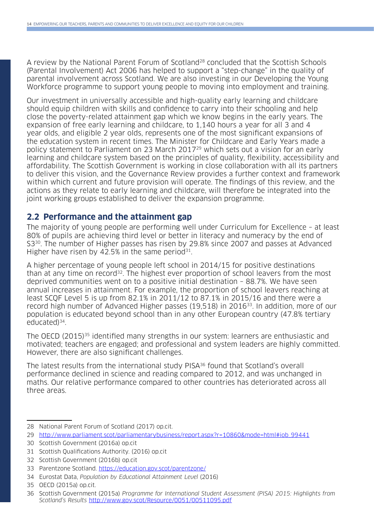A review by the National Parent Forum of Scotland<sup>28</sup> concluded that the Scottish Schools (Parental Involvement) Act 2006 has helped to support a "step-change" in the quality of parental involvement across Scotland. We are also investing in our Developing the Young Workforce programme to support young people to moving into employment and training.

Our investment in universally accessible and high-quality early learning and childcare should equip children with skills and confidence to carry into their schooling and help close the poverty-related attainment gap which we know begins in the early years. The expansion of free early learning and childcare, to 1,140 hours a year for all 3 and 4 year olds, and eligible 2 year olds, represents one of the most significant expansions of the education system in recent times. The Minister for Childcare and Early Years made a policy statement to Parliament on 23 March 201729 which sets out a vision for an early learning and childcare system based on the principles of quality, flexibility, accessibility and affordability. The Scottish Government is working in close collaboration with all its partners to deliver this vision, and the Governance Review provides a further context and framework within which current and future provision will operate. The findings of this review, and the actions as they relate to early learning and childcare, will therefore be integrated into the joint working groups established to deliver the expansion programme.

### **2.2 Performance and the attainment gap**

The majority of young people are performing well under Curriculum for Excellence – at least 80% of pupils are achieving third level or better in literacy and numeracy by the end of S3<sup>30</sup>. The number of Higher passes has risen by 29.8% since 2007 and passes at Advanced Higher have risen by 42.5% in the same period $31$ .

A higher percentage of young people left school in 2014/15 for positive destinations than at any time on record<sup>32</sup>. The highest ever proportion of school leavers from the most deprived communities went on to a positive initial destination – 88.7%. We have seen annual increases in attainment. For example, the proportion of school leavers reaching at least SCQF Level 5 is up from 82.1% in 2011/12 to 87.1% in 2015/16 and there were a record high number of Advanced Higher passes (19,518) in 201633. In addition, more of our population is educated beyond school than in any other European country (47.8% tertiary educated)34.

The OECD (2015)<sup>35</sup> identified many strengths in our system: learners are enthusiastic and motivated; teachers are engaged; and professional and system leaders are highly committed. However, there are also significant challenges.

The latest results from the international study PISA36 found that Scotland's overall performance declined in science and reading compared to 2012, and was unchanged in maths. Our relative performance compared to other countries has deteriorated across all three areas.

<sup>28</sup> National Parent Forum of Scotland (2017) op.cit.

<sup>29</sup> http://www.parliament.scot/parliamentarybusiness/report.aspx?r=10860&mode=html#iob\_99441

<sup>30</sup> Scottish Government (2016a) op.cit

<sup>31</sup> Scottish Qualifications Authority. (2016) op.cit

<sup>32</sup> Scottish Government (2016b) op.cit

<sup>33</sup> Parentzone Scotland.<https://education.gov.scot/parentzone/>

<sup>34</sup> Eurostat Data, Population by Educational Attainment Level (2016)

<sup>35</sup> OECD (2015a) op.cit.

<sup>36</sup> Scottish Government (2015a) Programme for International Student Assessment (PISA) 2015: Highlights from Scotland's Results <http://www.gov.scot/Resource/0051/00511095.pdf>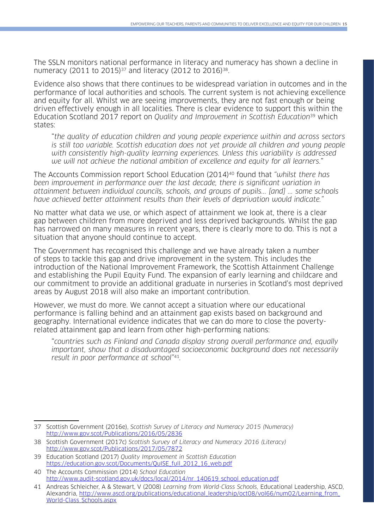The SSLN monitors national performance in literacy and numeracy has shown a decline in numeracy (2011 to 2015)<sup>37</sup> and literacy (2012 to 2016)<sup>38</sup>.

Evidence also shows that there continues to be widespread variation in outcomes and in the performance of local authorities and schools. The current system is not achieving excellence and equity for all. Whilst we are seeing improvements, they are not fast enough or being driven effectively enough in all localities. There is clear evidence to support this within the Education Scotland 2017 report on *Quality and Improvement in Scottish Education*<sup>39</sup> which states:

"the quality of education children and young people experience within and across sectors is still too variable. Scottish education does not yet provide all children and young people with consistently high-quality learning experiences. Unless this variability is addressed we will not achieve the national ambition of excellence and equity for all learners."

The Accounts Commission report School Education (2014)<sup>40</sup> found that "whilst there has been improvement in performance over the last decade, there is significant variation in attainment between individual councils, schools, and groups of pupils... [and] ... some schools have achieved better attainment results than their levels of deprivation would indicate."

No matter what data we use, or which aspect of attainment we look at, there is a clear gap between children from more deprived and less deprived backgrounds. Whilst the gap has narrowed on many measures in recent years, there is clearly more to do. This is not a situation that anyone should continue to accept.

The Government has recognised this challenge and we have already taken a number of steps to tackle this gap and drive improvement in the system. This includes the introduction of the National Improvement Framework, the Scottish Attainment Challenge and establishing the Pupil Equity Fund. The expansion of early learning and childcare and our commitment to provide an additional graduate in nurseries in Scotland's most deprived areas by August 2018 will also make an important contribution.

However, we must do more. We cannot accept a situation where our educational performance is falling behind and an attainment gap exists based on background and geography. International evidence indicates that we can do more to close the povertyrelated attainment gap and learn from other high-performing nations:

"countries such as Finland and Canada display strong overall performance and, equally important, show that a disadvantaged socioeconomic background does not necessarily result in poor performance at school"41.

<sup>37</sup> Scottish Government (2016e), Scottish Survey of Literacy and Numeracy 2015 (Numeracy) <http://www.gov.scot/Publications/2016/05/2836>

<sup>38</sup> Scottish Government (2017c) Scottish Survey of Literacy and Numeracy 2016 (Literacy) http://www.gov.scot/Publications/2017/05/7872

<sup>39</sup> Education Scotland (2017) Quality Improvement in Scottish Education [https://education.gov.scot/Documents/QuISE\\_full\\_2012\\_16\\_web.pdf](https://education.gov.scot/Documents/QuISE_full_2012_16_web.pdf)

<sup>40</sup> The Accounts Commission (2014) School Education [http://www.audit-scotland.gov.uk/docs/local/2014/nr\\_140619\\_school\\_education.pdf](http://www.audit-scotland.gov.uk/docs/local/2014/nr_140619_school_education.pdf)

<sup>41</sup> Andreas Schleicher, A & Stewart, V (2008) Learning from World-Class Schools, Educational Leadership, ASCD, Alexandria, [http://www.ascd.org/publications/educational\\_leadership/oct08/vol66/num02/Learning\\_from\\_](http://www.ascd.org/publications/educational_leadership/oct08/vol66/num02/Learning_from_World-Class_Schools.aspx) [World-Class\\_Schools.aspx](http://www.ascd.org/publications/educational_leadership/oct08/vol66/num02/Learning_from_World-Class_Schools.aspx)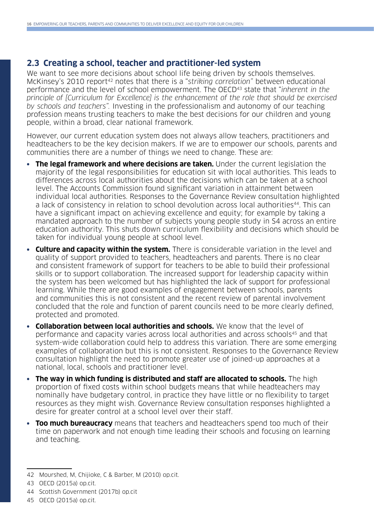## **2.3 Creating a school, teacher and practitioner-led system**

We want to see more decisions about school life being driven by schools themselves. McKinsey's 2010 report<sup>42</sup> notes that there is a "striking correlation" between educational performance and the level of school empowerment. The OECD<sup>43</sup> state that "inherent in the principle of [Curriculum for Excellence] is the enhancement of the role that should be exercised by schools and teachers". Investing in the professionalism and autonomy of our teaching profession means trusting teachers to make the best decisions for our children and young people, within a broad, clear national framework.

However, our current education system does not always allow teachers, practitioners and headteachers to be the key decision makers. If we are to empower our schools, parents and communities there are a number of things we need to change. These are:

- **• The legal framework and where decisions are taken.** Under the current legislation the majority of the legal responsibilities for education sit with local authorities. This leads to differences across local authorities about the decisions which can be taken at a school level. The Accounts Commission found significant variation in attainment between individual local authorities. Responses to the Governance Review consultation highlighted a lack of consistency in relation to school devolution across local authorities<sup>44</sup>. This can have a significant impact on achieving excellence and equity; for example by taking a mandated approach to the number of subjects young people study in S4 across an entire education authority. This shuts down curriculum flexibility and decisions which should be taken for individual young people at school level.
- **• Culture and capacity within the system.** There is considerable variation in the level and quality of support provided to teachers, headteachers and parents. There is no clear and consistent framework of support for teachers to be able to build their professional skills or to support collaboration. The increased support for leadership capacity within the system has been welcomed but has highlighted the lack of support for professional learning. While there are good examples of engagement between schools, parents and communities this is not consistent and the recent review of parental involvement concluded that the role and function of parent councils need to be more clearly defined, protected and promoted.
- **• Collaboration between local authorities and schools.** We know that the level of performance and capacity varies across local authorities and across schools45 and that system-wide collaboration could help to address this variation. There are some emerging examples of collaboration but this is not consistent. Responses to the Governance Review consultation highlight the need to promote greater use of joined-up approaches at a national, local, schools and practitioner level.
- **• The way in which funding is distributed and staff are allocated to schools.** The high proportion of fixed costs within school budgets means that while headteachers may nominally have budgetary control, in practice they have little or no flexibility to target resources as they might wish. Governance Review consultation responses highlighted a desire for greater control at a school level over their staff.
- **• Too much bureaucracy** means that teachers and headteachers spend too much of their time on paperwork and not enough time leading their schools and focusing on learning and teaching.

<sup>42</sup> Mourshed, M, Chijioke, C & Barber, M (2010) op.cit.

<sup>43</sup> OECD (2015a) op.cit.

<sup>44</sup> Scottish Government (2017b) op.cit

<sup>45</sup> OECD (2015a) op.cit.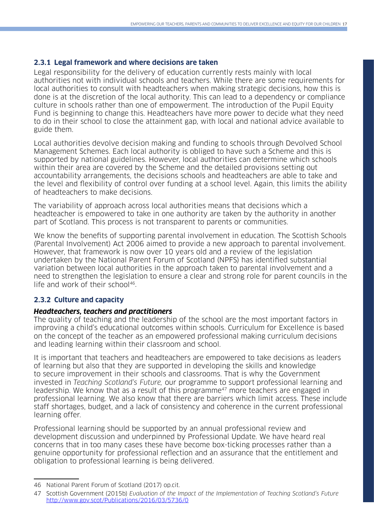#### **2.3.1 Legal framework and where decisions are taken**

Legal responsibility for the delivery of education currently rests mainly with local authorities not with individual schools and teachers. While there are some requirements for local authorities to consult with headteachers when making strategic decisions, how this is done is at the discretion of the local authority. This can lead to a dependency or compliance culture in schools rather than one of empowerment. The introduction of the Pupil Equity Fund is beginning to change this. Headteachers have more power to decide what they need to do in their school to close the attainment gap, with local and national advice available to guide them.

Local authorities devolve decision making and funding to schools through Devolved School Management Schemes. Each local authority is obliged to have such a Scheme and this is supported by national guidelines. However, local authorities can determine which schools within their area are covered by the Scheme and the detailed provisions setting out accountability arrangements, the decisions schools and headteachers are able to take and the level and flexibility of control over funding at a school level. Again, this limits the ability of headteachers to make decisions.

The variability of approach across local authorities means that decisions which a headteacher is empowered to take in one authority are taken by the authority in another part of Scotland. This process is not transparent to parents or communities.

We know the benefits of supporting parental involvement in education. The Scottish Schools (Parental Involvement) Act 2006 aimed to provide a new approach to parental involvement. However, that framework is now over 10 years old and a review of the legislation undertaken by the National Parent Forum of Scotland (NPFS) has identified substantial variation between local authorities in the approach taken to parental involvement and a need to strengthen the legislation to ensure a clear and strong role for parent councils in the life and work of their school46.

### **2.3.2 Culture and capacity**

#### **Headteachers, teachers and practitioners**

The quality of teaching and the leadership of the school are the most important factors in improving a child's educational outcomes within schools. Curriculum for Excellence is based on the concept of the teacher as an empowered professional making curriculum decisions and leading learning within their classroom and school.

It is important that teachers and headteachers are empowered to take decisions as leaders of learning but also that they are supported in developing the skills and knowledge to secure improvement in their schools and classrooms. That is why the Government invested in Teaching Scotland's Future, our programme to support professional learning and leadership. We know that as a result of this programme<sup>47</sup> more teachers are engaged in professional learning. We also know that there are barriers which limit access. These include staff shortages, budget, and a lack of consistency and coherence in the current professional learning offer.

Professional learning should be supported by an annual professional review and development discussion and underpinned by Professional Update. We have heard real concerns that in too many cases these have become box-ticking processes rather than a genuine opportunity for professional reflection and an assurance that the entitlement and obligation to professional learning is being delivered.

<sup>46</sup> National Parent Forum of Scotland (2017) op.cit.

<sup>47</sup> Scottish Government (2015b) Evaluation of the Impact of the Implementation of Teaching Scotland's Future <http://www.gov.scot/Publications/2016/03/5736/0>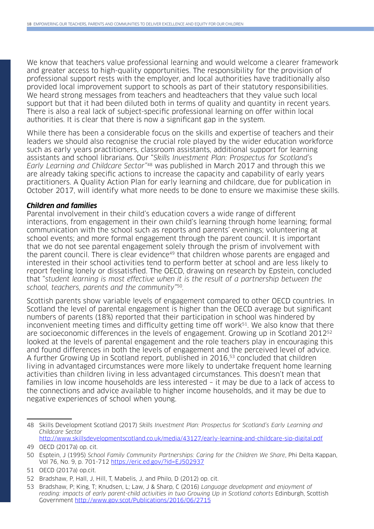We know that teachers value professional learning and would welcome a clearer framework and greater access to high-quality opportunities. The responsibility for the provision of professional support rests with the employer, and local authorities have traditionally also provided local improvement support to schools as part of their statutory responsibilities. We heard strong messages from teachers and headteachers that they value such local support but that it had been diluted both in terms of quality and quantity in recent years. There is also a real lack of subject-specific professional learning on offer within local authorities. It is clear that there is now a significant gap in the system.

While there has been a considerable focus on the skills and expertise of teachers and their leaders we should also recognise the crucial role played by the wider education workforce such as early years practitioners, classroom assistants, additional support for learning assistants and school librarians. Our "Skills Investment Plan: Prospectus for Scotland's Early Learning and Childcare Sector"48 was published in March 2017 and through this we are already taking specific actions to increase the capacity and capability of early years practitioners. A Quality Action Plan for early learning and childcare, due for publication in October 2017, will identify what more needs to be done to ensure we maximise these skills.

#### **Children and families**

Parental involvement in their child's education covers a wide range of different interactions, from engagement in their own child's learning through home learning; formal communication with the school such as reports and parents' evenings; volunteering at school events; and more formal engagement through the parent council. It is important that we do not see parental engagement solely through the prism of involvement with the parent council. There is clear evidence<sup>49</sup> that children whose parents are engaged and interested in their school activities tend to perform better at school and are less likely to report feeling lonely or dissatisfied. The OECD, drawing on research by Epstein, concluded that "student learning is most effective when it is the result of a partnership between the school, teachers, parents and the community"50.

Scottish parents show variable levels of engagement compared to other OECD countries. In Scotland the level of parental engagement is higher than the OECD average but significant numbers of parents (18%) reported that their participation in school was hindered by inconvenient meeting times and difficulty getting time off work<sup>51</sup>. We also know that there are socioeconomic differences in the levels of engagement. Growing up in Scotland 2012<sup>52</sup> looked at the levels of parental engagement and the role teachers play in encouraging this and found differences in both the levels of engagement and the perceived level of advice. A further Growing Up in Scotland report, published in 2016,53 concluded that children living in advantaged circumstances were more likely to undertake frequent home learning activities than children living in less advantaged circumstances. This doesn't mean that families in low income households are less interested – it may be due to a lack of access to the connections and advice available to higher income households, and it may be due to negative experiences of school when young.

<sup>48</sup> Skills Development Scotland (2017) Skills Investment Plan: Prospectus for Scotland's Early Learning and Childcare Sector <http://www.skillsdevelopmentscotland.co.uk/media/43127/early-learning-and-childcare-sip-digital.pdf>

<sup>49</sup> OECD (2017a) op. cit.

<sup>50</sup> Esptein, J (1995) School Family Community Partnerships: Caring for the Children We Share, Phi Delta Kappan, Vol 76, No. 9, p. 701-712 <https://eric.ed.gov/?id=EJ502937>

<sup>51</sup> OECD (2017a) op.cit.

<sup>52</sup> Bradshaw, P, Hall, J, Hill, T, Mabelis, J, and Philo, D (2012) op. cit.

<sup>53</sup> Bradshaw, P; King, T; Knudsen, L; Law, J & Sharp, C (2016) Language development and enjoyment of reading: impacts of early parent-child activities in two Growing Up in Scotland cohorts Edinburgh, Scottish Government<http://www.gov.scot/Publications/2016/06/2715>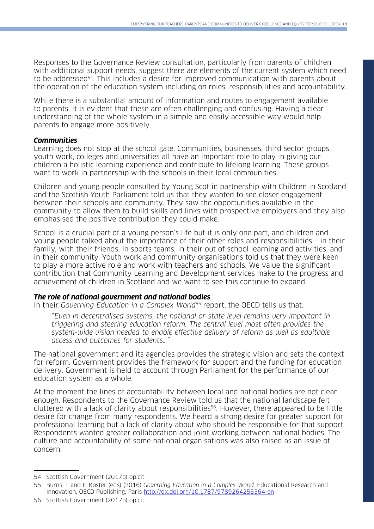Responses to the Governance Review consultation, particularly from parents of children with additional support needs, suggest there are elements of the current system which need to be addressed<sup>54</sup>. This includes a desire for improved communication with parents about the operation of the education system including on roles, responsibilities and accountability.

While there is a substantial amount of information and routes to engagement available to parents, it is evident that these are often challenging and confusing. Having a clear understanding of the whole system in a simple and easily accessible way would help parents to engage more positively.

#### **Communities**

Learning does not stop at the school gate. Communities, businesses, third sector groups, youth work, colleges and universities all have an important role to play in giving our children a holistic learning experience and contribute to lifelong learning. These groups want to work in partnership with the schools in their local communities.

Children and young people consulted by Young Scot in partnership with Children in Scotland and the Scottish Youth Parliament told us that they wanted to see closer engagement between their schools and community. They saw the opportunities available in the community to allow them to build skills and links with prospective employers and they also emphasised the positive contribution they could make.

School is a crucial part of a young person's life but it is only one part, and children and young people talked about the importance of their other roles and responsibilities – in their family, with their friends, in sports teams, in their out of school learning and activities, and in their community. Youth work and community organisations told us that they were keen to play a more active role and work with teachers and schools. We value the significant contribution that Community Learning and Development services make to the progress and achievement of children in Scotland and we want to see this continue to expand.

#### **The role of national government and national bodies**

In their Governing Education in a Complex World<sup>55</sup> report, the OECD tells us that:

"Even in decentralised systems, the national or state level remains very important in triggering and steering education reform. The central level most often provides the system-wide vision needed to enable effective delivery of reform as well as equitable access and outcomes for students…"

The national government and its agencies provides the strategic vision and sets the context for reform. Government provides the framework for support and the funding for education delivery. Government is held to account through Parliament for the performance of our education system as a whole.

At the moment the lines of accountability between local and national bodies are not clear enough. Respondents to the Governance Review told us that the national landscape felt cluttered with a lack of clarity about responsibilities<sup>56</sup>. However, there appeared to be little desire for change from many respondents. We heard a strong desire for greater support for professional learning but a lack of clarity about who should be responsible for that support. Respondents wanted greater collaboration and joint working between national bodies. The culture and accountability of some national organisations was also raised as an issue of concern.

<sup>54</sup> Scottish Government (2017b) op.cit

<sup>55</sup> Burns, T and F. Koster (eds) (2016) Governing Education in a Complex World, Educational Research and Innovation, OECD Publishing, Paris <http://dx.doi.org/10.1787/9789264255364-en>

<sup>56</sup> Scottish Government (2017b) op.cit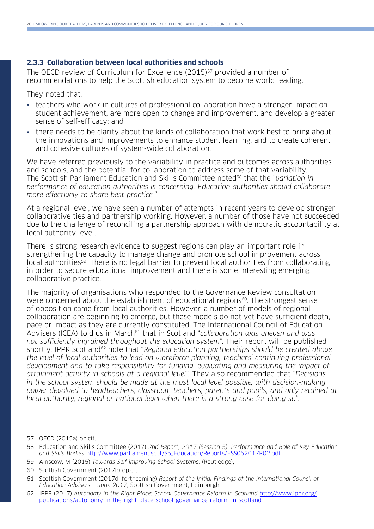#### **2.3.3 Collaboration between local authorities and schools**

The OECD review of Curriculum for Excellence (2015)<sup>57</sup> provided a number of recommendations to help the Scottish education system to become world leading.

They noted that:

- teachers who work in cultures of professional collaboration have a stronger impact on student achievement, are more open to change and improvement, and develop a greater sense of self-efficacy; and
- there needs to be clarity about the kinds of collaboration that work best to bring about the innovations and improvements to enhance student learning, and to create coherent and cohesive cultures of system-wide collaboration.

We have referred previously to the variability in practice and outcomes across authorities and schools, and the potential for collaboration to address some of that variability. The Scottish Parliament Education and Skills Committee noted<sup>58</sup> that the "variation in performance of education authorities is concerning. Education authorities should collaborate more effectively to share best practice."

At a regional level, we have seen a number of attempts in recent years to develop stronger collaborative ties and partnership working. However, a number of those have not succeeded due to the challenge of reconciling a partnership approach with democratic accountability at local authority level.

There is strong research evidence to suggest regions can play an important role in strengthening the capacity to manage change and promote school improvement across local authorities<sup>59</sup>. There is no legal barrier to prevent local authorities from collaborating in order to secure educational improvement and there is some interesting emerging collaborative practice.

The majority of organisations who responded to the Governance Review consultation were concerned about the establishment of educational regions<sup>60</sup>. The strongest sense of opposition came from local authorities. However, a number of models of regional collaboration are beginning to emerge, but these models do not yet have sufficient depth, pace or impact as they are currently constituted. The International Council of Education Advisers (ICEA) told us in March<sup>61</sup> that in Scotland "collaboration was uneven and was not sufficiently ingrained throughout the education system". Their report will be published shortly. IPPR Scotland<sup>62</sup> note that "Regional education partnerships should be created above the level of local authorities to lead on workforce planning, teachers' continuing professional development and to take responsibility for funding, evaluating and measuring the impact of attainment activity in schools at a regional level". They also recommended that "Decisions in the school system should be made at the most local level possible, with decision-making power devolved to headteachers, classroom teachers, parents and pupils, and only retained at local authority, regional or national level when there is a strong case for doing so".

59 Ainscow, M (2015) Towards Self-improving School Systems, (Routledge),

<sup>57</sup> OECD (2015a) op.cit.

<sup>58</sup> Education and Skills Committee (2017) 2nd Report, 2017 (Session 5): Performance and Role of Key Education and Skills Bodies [http://www.parliament.scot/S5\\_Education/Reports/ESS052017R02.pdf](http://www.parliament.scot/S5_Education/Reports/ESS052017R02.pdf)

<sup>60</sup> Scottish Government (2017b) op.cit

<sup>61</sup> Scottish Government (2017d, forthcoming) Report of the Initial Findings of the International Council of Education Advisers – June 2017, Scottish Government, Edinburgh

<sup>62</sup> IPPR (2017) Autonomy in the Right Place: School Governance Reform in Scotland [http://www.ippr.org/](http://www.ippr.org/publications/autonomy-in-the-right-place-school-governance-reform-in-scotland) [publications/autonomy-in-the-right-place-school-governance-reform-in-scotland](http://www.ippr.org/publications/autonomy-in-the-right-place-school-governance-reform-in-scotland)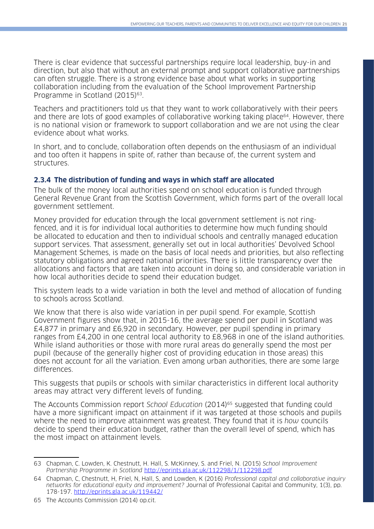There is clear evidence that successful partnerships require local leadership, buy-in and direction, but also that without an external prompt and support collaborative partnerships can often struggle. There is a strong evidence base about what works in supporting collaboration including from the evaluation of the School Improvement Partnership Programme in Scotland (2015)<sup>63</sup>.

Teachers and practitioners told us that they want to work collaboratively with their peers and there are lots of good examples of collaborative working taking place<sup>64</sup>. However, there is no national vision or framework to support collaboration and we are not using the clear evidence about what works.

In short, and to conclude, collaboration often depends on the enthusiasm of an individual and too often it happens in spite of, rather than because of, the current system and structures.

#### **2.3.4 The distribution of funding and ways in which staff are allocated**

The bulk of the money local authorities spend on school education is funded through General Revenue Grant from the Scottish Government, which forms part of the overall local government settlement.

Money provided for education through the local government settlement is not ringfenced, and it is for individual local authorities to determine how much funding should be allocated to education and then to individual schools and centrally managed education support services. That assessment, generally set out in local authorities' Devolved School Management Schemes, is made on the basis of local needs and priorities, but also reflecting statutory obligations and agreed national priorities. There is little transparency over the allocations and factors that are taken into account in doing so, and considerable variation in how local authorities decide to spend their education budget.

This system leads to a wide variation in both the level and method of allocation of funding to schools across Scotland.

We know that there is also wide variation in per pupil spend. For example, Scottish Government figures show that, in 2015-16, the average spend per pupil in Scotland was £4,877 in primary and £6,920 in secondary. However, per pupil spending in primary ranges from £4,200 in one central local authority to £8,968 in one of the island authorities. While island authorities or those with more rural areas do generally spend the most per pupil (because of the generally higher cost of providing education in those areas) this does not account for all the variation. Even among urban authorities, there are some large differences.

This suggests that pupils or schools with similar characteristics in different local authority areas may attract very different levels of funding.

The Accounts Commission report School Education (2014)<sup>65</sup> suggested that funding could have a more significant impact on attainment if it was targeted at those schools and pupils where the need to improve attainment was greatest. They found that it is how councils decide to spend their education budget, rather than the overall level of spend, which has the most impact on attainment levels.

<sup>63</sup> Chapman, C. Lowden, K. Chestnutt, H. Hall, S. McKinney, S. and Friel, N. (2015) School Improvement Partnership Programme in Scotland <http://eprints.gla.ac.uk/112298/1/112298.pdf>

<sup>64</sup> Chapman, C, Chestnutt, H, Friel, N, Hall, S, and Lowden, K (2016) Professional capital and collaborative inquiry networks for educational equity and improvement? Journal of Professional Capital and Community, 1(3), pp. 178-197. <http://eprints.gla.ac.uk/119442/>

<sup>65</sup> The Accounts Commission (2014) op.cit.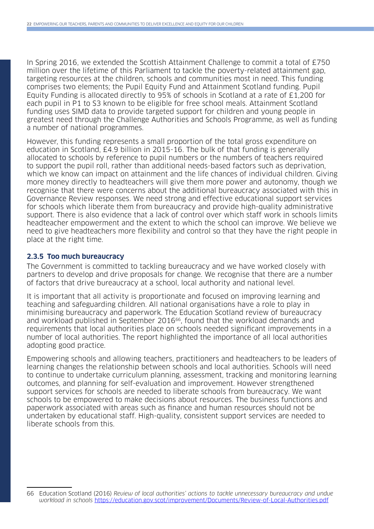In Spring 2016, we extended the Scottish Attainment Challenge to commit a total of £750 million over the lifetime of this Parliament to tackle the poverty-related attainment gap, targeting resources at the children, schools and communities most in need. This funding comprises two elements; the Pupil Equity Fund and Attainment Scotland funding. Pupil Equity Funding is allocated directly to 95% of schools in Scotland at a rate of £1,200 for each pupil in P1 to S3 known to be eligible for free school meals. Attainment Scotland funding uses SIMD data to provide targeted support for children and young people in greatest need through the Challenge Authorities and Schools Programme, as well as funding a number of national programmes.

However, this funding represents a small proportion of the total gross expenditure on education in Scotland, £4.9 billion in 2015-16. The bulk of that funding is generally allocated to schools by reference to pupil numbers or the numbers of teachers required to support the pupil roll, rather than additional needs-based factors such as deprivation, which we know can impact on attainment and the life chances of individual children. Giving more money directly to headteachers will give them more power and autonomy, though we recognise that there were concerns about the additional bureaucracy associated with this in Governance Review responses. We need strong and effective educational support services for schools which liberate them from bureaucracy and provide high-quality administrative support. There is also evidence that a lack of control over which staff work in schools limits headteacher empowerment and the extent to which the school can improve. We believe we need to give headteachers more flexibility and control so that they have the right people in place at the right time.

#### **2.3.5 Too much bureaucracy**

The Government is committed to tackling bureaucracy and we have worked closely with partners to develop and drive proposals for change. We recognise that there are a number of factors that drive bureaucracy at a school, local authority and national level.

It is important that all activity is proportionate and focused on improving learning and teaching and safeguarding children. All national organisations have a role to play in minimising bureaucracy and paperwork. The Education Scotland review of bureaucracy and workload published in September 2016<sup>66</sup>, found that the workload demands and requirements that local authorities place on schools needed significant improvements in a number of local authorities. The report highlighted the importance of all local authorities adopting good practice.

Empowering schools and allowing teachers, practitioners and headteachers to be leaders of learning changes the relationship between schools and local authorities. Schools will need to continue to undertake curriculum planning, assessment, tracking and monitoring learning outcomes, and planning for self-evaluation and improvement. However strengthened support services for schools are needed to liberate schools from bureaucracy. We want schools to be empowered to make decisions about resources. The business functions and paperwork associated with areas such as finance and human resources should not be undertaken by educational staff. High-quality, consistent support services are needed to liberate schools from this.

<sup>66</sup> Education Scotland (2016) Review of local authorities' actions to tackle unnecessary bureaucracy and undue workload in schools <https://education.gov.scot/improvement/Documents/Review-of-Local-Authorities.pdf>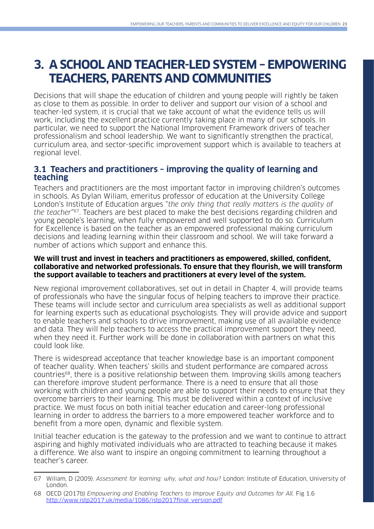## **3. A SCHOOL AND TEACHER-LED SYSTEM – EMPOWERING TEACHERS, PARENTS AND COMMUNITIES**

Decisions that will shape the education of children and young people will rightly be taken as close to them as possible. In order to deliver and support our vision of a school and teacher-led system, it is crucial that we take account of what the evidence tells us will work, including the excellent practice currently taking place in many of our schools. In particular, we need to support the National Improvement Framework drivers of teacher professionalism and school leadership. We want to significantly strengthen the practical, curriculum area, and sector-specific improvement support which is available to teachers at regional level.

## **3.1 Teachers and practitioners – improving the quality of learning and teaching**

Teachers and practitioners are the most important factor in improving children's outcomes in schools. As Dylan Wiliam, emeritus professor of education at the University College London's Institute of Education argues "the only thing that really matters is the quality of the teacher"67. Teachers are best placed to make the best decisions regarding children and young people's learning, when fully empowered and well supported to do so. Curriculum for Excellence is based on the teacher as an empowered professional making curriculum decisions and leading learning within their classroom and school. We will take forward a number of actions which support and enhance this.

#### **We will trust and invest in teachers and practitioners as empowered, skilled, confident, collaborative and networked professionals. To ensure that they flourish, we will transform the support available to teachers and practitioners at every level of the system.**

New regional improvement collaboratives, set out in detail in Chapter 4, will provide teams of professionals who have the singular focus of helping teachers to improve their practice. These teams will include sector and curriculum area specialists as well as additional support for learning experts such as educational psychologists. They will provide advice and support to enable teachers and schools to drive improvement, making use of all available evidence and data. They will help teachers to access the practical improvement support they need, when they need it. Further work will be done in collaboration with partners on what this could look like.

There is widespread acceptance that teacher knowledge base is an important component of teacher quality. When teachers' skills and student performance are compared across countries68, there is a positive relationship between them. Improving skills among teachers can therefore improve student performance. There is a need to ensure that all those working with children and young people are able to support their needs to ensure that they overcome barriers to their learning. This must be delivered within a context of inclusive practice. We must focus on both initial teacher education and career-long professional learning in order to address the barriers to a more empowered teacher workforce and to benefit from a more open, dynamic and flexible system.

Initial teacher education is the gateway to the profession and we want to continue to attract aspiring and highly motivated individuals who are attracted to teaching because it makes a difference. We also want to inspire an ongoing commitment to learning throughout a teacher's career.

<sup>67</sup> Wiliam, D (2009). Assessment for learning: why, what and how? London: Institute of Education, University of London.

<sup>68</sup> OECD (2017b) Empowering and Enabling Teachers to Improve Equity and Outcomes for All, Fig 1.6 [http://www.istp2017.uk/media/1086/istp2017final\\_version.pdf](http://www.istp2017.uk/media/1086/istp2017final_version.pdf)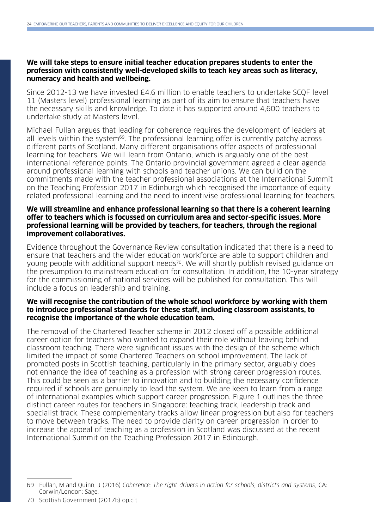#### **We will take steps to ensure initial teacher education prepares students to enter the profession with consistently well-developed skills to teach key areas such as literacy, numeracy and health and wellbeing.**

Since 2012-13 we have invested £4.6 million to enable teachers to undertake SCQF level 11 (Masters level) professional learning as part of its aim to ensure that teachers have the necessary skills and knowledge. To date it has supported around 4,600 teachers to undertake study at Masters level.

Michael Fullan argues that leading for coherence requires the development of leaders at all levels within the system<sup>69</sup>. The professional learning offer is currently patchy across different parts of Scotland. Many different organisations offer aspects of professional learning for teachers. We will learn from Ontario, which is arguably one of the best international reference points. The Ontario provincial government agreed a clear agenda around professional learning with schools and teacher unions. We can build on the commitments made with the teacher professional associations at the International Summit on the Teaching Profession 2017 in Edinburgh which recognised the importance of equity related professional learning and the need to incentivise professional learning for teachers.

#### **We will streamline and enhance professional learning so that there is a coherent learning offer to teachers which is focussed on curriculum area and sector-specific issues. More professional learning will be provided by teachers, for teachers, through the regional improvement collaboratives.**

Evidence throughout the Governance Review consultation indicated that there is a need to ensure that teachers and the wider education workforce are able to support children and young people with additional support needs<sup>70</sup>. We will shortly publish revised guidance on the presumption to mainstream education for consultation. In addition, the 10-year strategy for the commissioning of national services will be published for consultation. This will include a focus on leadership and training.

#### **We will recognise the contribution of the whole school workforce by working with them to introduce professional standards for these staff, including classroom assistants, to recognise the importance of the whole education team.**

The removal of the Chartered Teacher scheme in 2012 closed off a possible additional career option for teachers who wanted to expand their role without leaving behind classroom teaching. There were significant issues with the design of the scheme which limited the impact of some Chartered Teachers on school improvement. The lack of promoted posts in Scottish teaching, particularly in the primary sector, arguably does not enhance the idea of teaching as a profession with strong career progression routes. This could be seen as a barrier to innovation and to building the necessary confidence required if schools are genuinely to lead the system. We are keen to learn from a range of international examples which support career progression. Figure 1 outlines the three distinct career routes for teachers in Singapore: teaching track, leadership track and specialist track. These complementary tracks allow linear progression but also for teachers to move between tracks. The need to provide clarity on career progression in order to increase the appeal of teaching as a profession in Scotland was discussed at the recent International Summit on the Teaching Profession 2017 in Edinburgh.

<sup>69</sup> Fullan, M and Quinn, J (2016) Coherence: The right drivers in action for schools, districts and systems, CA: Corwin/London: Sage.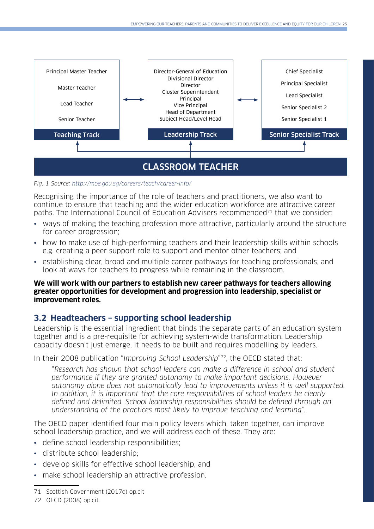

Fig. 1 Source: <http://moe.gov.sg/careers/teach/career-info/>

Recognising the importance of the role of teachers and practitioners, we also want to continue to ensure that teaching and the wider education workforce are attractive career paths. The International Council of Education Advisers recommended<sup>71</sup> that we consider:

- ways of making the teaching profession more attractive, particularly around the structure for career progression;
- how to make use of high-performing teachers and their leadership skills within schools e.g. creating a peer support role to support and mentor other teachers; and
- establishing clear, broad and multiple career pathways for teaching professionals, and look at ways for teachers to progress while remaining in the classroom.

#### **We will work with our partners to establish new career pathways for teachers allowing greater opportunities for development and progression into leadership, specialist or improvement roles.**

## **3.2 Headteachers – supporting school leadership**

Leadership is the essential ingredient that binds the separate parts of an education system together and is a pre-requisite for achieving system-wide transformation. Leadership capacity doesn't just emerge, it needs to be built and requires modelling by leaders.

In their 2008 publication "Improving School Leadership"72, the OECD stated that:

"Research has shown that school leaders can make a difference in school and student performance if they are granted autonomy to make important decisions. However autonomy alone does not automatically lead to improvements unless it is well supported. In addition, it is important that the core responsibilities of school leaders be clearly defined and delimited. School leadership responsibilities should be defined through an understanding of the practices most likely to improve teaching and learning".

The OECD paper identified four main policy levers which, taken together, can improve school leadership practice, and we will address each of these. They are:

- define school leadership responsibilities;
- distribute school leadership;
- develop skills for effective school leadership; and
- make school leadership an attractive profession.

<sup>71</sup> Scottish Government (2017d) op.cit

<sup>72</sup> OECD (2008) op.cit.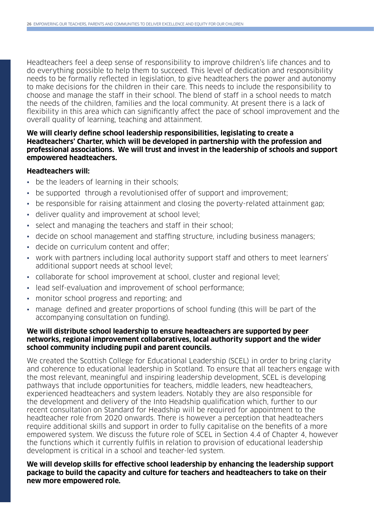Headteachers feel a deep sense of responsibility to improve children's life chances and to do everything possible to help them to succeed. This level of dedication and responsibility needs to be formally reflected in legislation, to give headteachers the power and autonomy to make decisions for the children in their care. This needs to include the responsibility to choose and manage the staff in their school. The blend of staff in a school needs to match the needs of the children, families and the local community. At present there is a lack of flexibility in this area which can significantly affect the pace of school improvement and the overall quality of learning, teaching and attainment.

#### **We will clearly define school leadership responsibilities, legislating to create a Headteachers' Charter, which will be developed in partnership with the profession and professional associations. We will trust and invest in the leadership of schools and support empowered headteachers.**

#### **Headteachers will:**

- be the leaders of learning in their schools;
- be supported through a revolutionised offer of support and improvement;
- be responsible for raising attainment and closing the poverty-related attainment gap;
- deliver quality and improvement at school level;
- select and managing the teachers and staff in their school;
- decide on school management and staffing structure, including business managers;
- decide on curriculum content and offer;
- work with partners including local authority support staff and others to meet learners' additional support needs at school level;
- collaborate for school improvement at school, cluster and regional level;
- lead self-evaluation and improvement of school performance;
- monitor school progress and reporting; and
- manage defined and greater proportions of school funding (this will be part of the accompanying consultation on funding).

#### **We will distribute school leadership to ensure headteachers are supported by peer networks, regional improvement collaboratives, local authority support and the wider school community including pupil and parent councils.**

We created the Scottish College for Educational Leadership (SCEL) in order to bring clarity and coherence to educational leadership in Scotland. To ensure that all teachers engage with the most relevant, meaningful and inspiring leadership development, SCEL is developing pathways that include opportunities for teachers, middle leaders, new headteachers, experienced headteachers and system leaders. Notably they are also responsible for the development and delivery of the Into Headship qualification which, further to our recent consultation on Standard for Headship will be required for appointment to the headteacher role from 2020 onwards. There is however a perception that headteachers require additional skills and support in order to fully capitalise on the benefits of a more empowered system. We discuss the future role of SCEL in Section 4.4 of Chapter 4, however the functions which it currently fulfils in relation to provision of educational leadership development is critical in a school and teacher-led system.

#### **We will develop skills for effective school leadership by enhancing the leadership support package to build the capacity and culture for teachers and headteachers to take on their new more empowered role.**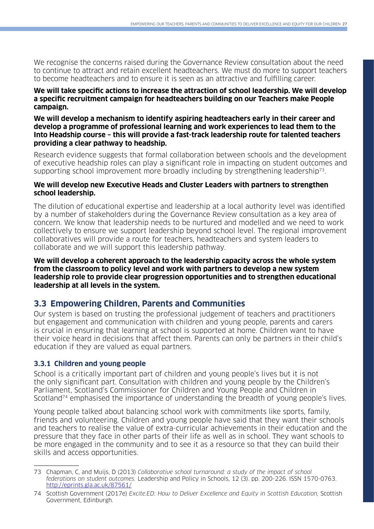We recognise the concerns raised during the Governance Review consultation about the need to continue to attract and retain excellent headteachers. We must do more to support teachers to become headteachers and to ensure it is seen as an attractive and fulfilling career.

#### **We will take specific actions to increase the attraction of school leadership. We will develop a specific recruitment campaign for headteachers building on our Teachers make People campaign.**

#### **We will develop a mechanism to identify aspiring headteachers early in their career and develop a programme of professional learning and work experiences to lead them to the Into Headship course – this will provide a fast-track leadership route for talented teachers providing a clear pathway to headship.**

Research evidence suggests that formal collaboration between schools and the development of executive headship roles can play a significant role in impacting on student outcomes and supporting school improvement more broadly including by strengthening leadership<sup>73</sup>.

#### **We will develop new Executive Heads and Cluster Leaders with partners to strengthen school leadership.**

The dilution of educational expertise and leadership at a local authority level was identified by a number of stakeholders during the Governance Review consultation as a key area of concern. We know that leadership needs to be nurtured and modelled and we need to work collectively to ensure we support leadership beyond school level. The regional improvement collaboratives will provide a route for teachers, headteachers and system leaders to collaborate and we will support this leadership pathway.

**We will develop a coherent approach to the leadership capacity across the whole system from the classroom to policy level and work with partners to develop a new system leadership role to provide clear progression opportunities and to strengthen educational leadership at all levels in the system.**

## **3.3 Empowering Children, Parents and Communities**

Our system is based on trusting the professional judgement of teachers and practitioners but engagement and communication with children and young people, parents and carers is crucial in ensuring that learning at school is supported at home. Children want to have their voice heard in decisions that affect them. Parents can only be partners in their child's education if they are valued as equal partners.

### **3.3.1 Children and young people**

School is a critically important part of children and young people's lives but it is not the only significant part. Consultation with children and young people by the Children's Parliament, Scotland's Commissioner for Children and Young People and Children in Scotland<sup>74</sup> emphasised the importance of understanding the breadth of young people's lives.

Young people talked about balancing school work with commitments like sports, family, friends and volunteering. Children and young people have said that they want their schools and teachers to realise the value of extra-curricular achievements in their education and the pressure that they face in other parts of their life as well as in school. They want schools to be more engaged in the community and to see it as a resource so that they can build their skills and access opportunities.

<sup>73</sup> Chapman, C, and Muijs, D (2013) Collaborative school turnaround: a study of the impact of school federations on student outcomes. Leadership and Policy in Schools, 12 (3). pp. 200-226. ISSN 1570-0763. <http://eprints.gla.ac.uk/87561/>

<sup>74</sup> Scottish Government (2017e) Excite.ED: How to Deliver Excellence and Equity in Scottish Education, Scottish Government, Edinburgh.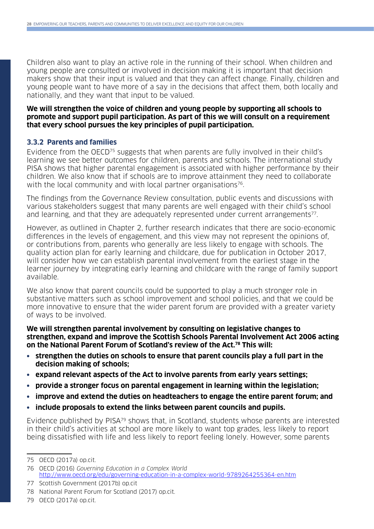Children also want to play an active role in the running of their school. When children and young people are consulted or involved in decision making it is important that decision makers show that their input is valued and that they can affect change. Finally, children and young people want to have more of a say in the decisions that affect them, both locally and nationally, and they want that input to be valued.

#### **We will strengthen the voice of children and young people by supporting all schools to promote and support pupil participation. As part of this we will consult on a requirement that every school pursues the key principles of pupil participation.**

#### **3.3.2 Parents and families**

Evidence from the OECD75 suggests that when parents are fully involved in their child's learning we see better outcomes for children, parents and schools. The international study PISA shows that higher parental engagement is associated with higher performance by their children. We also know that if schools are to improve attainment they need to collaborate with the local community and with local partner organisations<sup>76</sup>.

The findings from the Governance Review consultation, public events and discussions with various stakeholders suggest that many parents are well engaged with their child's school and learning, and that they are adequately represented under current arrangements<sup>77</sup>.

However, as outlined in Chapter 2, further research indicates that there are socio-economic differences in the levels of engagement, and this view may not represent the opinions of, or contributions from, parents who generally are less likely to engage with schools. The quality action plan for early learning and childcare, due for publication in October 2017, will consider how we can establish parental involvement from the earliest stage in the learner journey by integrating early learning and childcare with the range of family support available.

We also know that parent councils could be supported to play a much stronger role in substantive matters such as school improvement and school policies, and that we could be more innovative to ensure that the wider parent forum are provided with a greater variety of ways to be involved.

**We will strengthen parental involvement by consulting on legislative changes to strengthen, expand and improve the Scottish Schools Parental Involvement Act 2006 acting on the National Parent Forum of Scotland's review of the Act.78 This will:**

- **• strengthen the duties on schools to ensure that parent councils play a full part in the decision making of schools;**
- **• expand relevant aspects of the Act to involve parents from early years settings;**
- **• provide a stronger focus on parental engagement in learning within the legislation;**
- **• improve and extend the duties on headteachers to engage the entire parent forum; and**
- **• include proposals to extend the links between parent councils and pupils.**

Evidence published by PISA79 shows that, in Scotland, students whose parents are interested in their child's activities at school are more likely to want top grades, less likely to report being dissatisfied with life and less likely to report feeling lonely. However, some parents

<sup>75</sup> OECD (2017a) op.cit.

<sup>76</sup> OECD (2016) Governing Education in a Complex World <http://www.oecd.org/edu/governing-education-in-a-complex-world-9789264255364-en.htm>

<sup>77</sup> Scottish Government (2017b) op.cit

<sup>78</sup> National Parent Forum for Scotland (2017) op.cit.

<sup>79</sup> OECD (2017a) op.cit.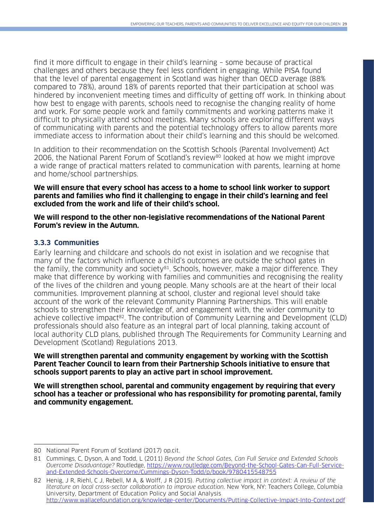find it more difficult to engage in their child's learning – some because of practical challenges and others because they feel less confident in engaging. While PISA found that the level of parental engagement in Scotland was higher than OECD average (88% compared to 78%), around 18% of parents reported that their participation at school was hindered by inconvenient meeting times and difficulty of getting off work. In thinking about how best to engage with parents, schools need to recognise the changing reality of home and work. For some people work and family commitments and working patterns make it difficult to physically attend school meetings. Many schools are exploring different ways of communicating with parents and the potential technology offers to allow parents more immediate access to information about their child's learning and this should be welcomed.

In addition to their recommendation on the Scottish Schools (Parental Involvement) Act 2006, the National Parent Forum of Scotland's review<sup>80</sup> looked at how we might improve a wide range of practical matters related to communication with parents, learning at home and home/school partnerships.

**We will ensure that every school has access to a home to school link worker to support parents and families who find it challenging to engage in their child's learning and feel excluded from the work and life of their child's school.**

**We will respond to the other non-legislative recommendations of the National Parent Forum's review in the Autumn.**

### **3.3.3 Communities**

Early learning and childcare and schools do not exist in isolation and we recognise that many of the factors which influence a child's outcomes are outside the school gates in the family, the community and society<sup>81</sup>. Schools, however, make a major difference. They make that difference by working with families and communities and recognising the reality of the lives of the children and young people. Many schools are at the heart of their local communities. Improvement planning at school, cluster and regional level should take account of the work of the relevant Community Planning Partnerships. This will enable schools to strengthen their knowledge of, and engagement with, the wider community to achieve collective impact<sup>82</sup>. The contribution of Community Learning and Development (CLD) professionals should also feature as an integral part of local planning, taking account of local authority CLD plans, published through The Requirements for Community Learning and Development (Scotland) Regulations 2013.

#### **We will strengthen parental and community engagement by working with the Scottish Parent Teacher Council to learn from their Partnership Schools initiative to ensure that schools support parents to play an active part in school improvement.**

**We will strengthen school, parental and community engagement by requiring that every school has a teacher or professional who has responsibility for promoting parental, family and community engagement.**

<sup>80</sup> National Parent Forum of Scotland (2017) op.cit.

<sup>81.</sup> Cummings, C, Dyson, A and Todd, L (2011) Beyond the School Gates, Can Full Service and Extended Schools Overcome Disadvantage? Routledge, [https://www.routledge.com/Beyond-the-School-Gates-Can-Full-Service](https://www.routledge.com/Beyond-the-School-Gates-Can-Full-Service-and-Extended-Schools-Overcome/Cummings-Dyson-Todd/p/book/9780415548755)[and-Extended-Schools-Overcome/Cummings-Dyson-Todd/p/book/9780415548755](https://www.routledge.com/Beyond-the-School-Gates-Can-Full-Service-and-Extended-Schools-Overcome/Cummings-Dyson-Todd/p/book/9780415548755)

<sup>82</sup> Henig, J R, Riehl, C J, Rebell, M A, & Wolff, J R (2015). Putting collective impact in context: A review of the literature on local cross-sector collaboration to improve education. New York, NY: Teachers College, Columbia University, Department of Education Policy and Social Analysis <http://www.wallacefoundation.org/knowledge-center/Documents/Putting-Collective-Impact-Into-Context.pdf>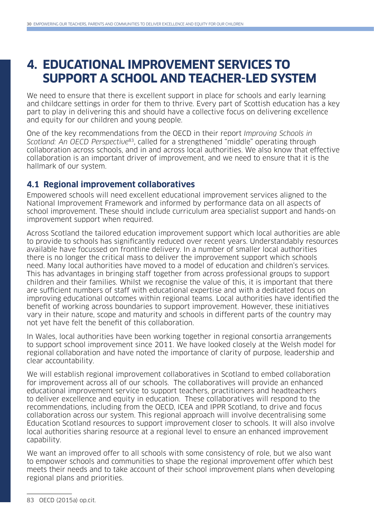## **4. EDUCATIONAL IMPROVEMENT SERVICES TO SUPPORT A SCHOOL AND TEACHER-LED SYSTEM**

We need to ensure that there is excellent support in place for schools and early learning and childcare settings in order for them to thrive. Every part of Scottish education has a key part to play in delivering this and should have a collective focus on delivering excellence and equity for our children and young people.

One of the key recommendations from the OECD in their report Improving Schools in Scotland: An OECD Perspective<sup>83</sup>, called for a strengthened "middle" operating through collaboration across schools, and in and across local authorities. We also know that effective collaboration is an important driver of improvement, and we need to ensure that it is the hallmark of our system.

## **4.1 Regional improvement collaboratives**

Empowered schools will need excellent educational improvement services aligned to the National Improvement Framework and informed by performance data on all aspects of school improvement. These should include curriculum area specialist support and hands-on improvement support when required.

Across Scotland the tailored education improvement support which local authorities are able to provide to schools has significantly reduced over recent years. Understandably resources available have focussed on frontline delivery. In a number of smaller local authorities there is no longer the critical mass to deliver the improvement support which schools need. Many local authorities have moved to a model of education and children's services. This has advantages in bringing staff together from across professional groups to support children and their families. Whilst we recognise the value of this, it is important that there are sufficient numbers of staff with educational expertise and with a dedicated focus on improving educational outcomes within regional teams. Local authorities have identified the benefit of working across boundaries to support improvement. However, these initiatives vary in their nature, scope and maturity and schools in different parts of the country may not yet have felt the benefit of this collaboration.

In Wales, local authorities have been working together in regional consortia arrangements to support school improvement since 2011. We have looked closely at the Welsh model for regional collaboration and have noted the importance of clarity of purpose, leadership and clear accountability.

We will establish regional improvement collaboratives in Scotland to embed collaboration for improvement across all of our schools. The collaboratives will provide an enhanced educational improvement service to support teachers, practitioners and headteachers to deliver excellence and equity in education. These collaboratives will respond to the recommendations, including from the OECD, ICEA and IPPR Scotland, to drive and focus collaboration across our system. This regional approach will involve decentralising some Education Scotland resources to support improvement closer to schools. It will also involve local authorities sharing resource at a regional level to ensure an enhanced improvement capability.

We want an improved offer to all schools with some consistency of role, but we also want to empower schools and communities to shape the regional improvement offer which best meets their needs and to take account of their school improvement plans when developing regional plans and priorities.

<sup>83</sup> OECD (2015a) op.cit.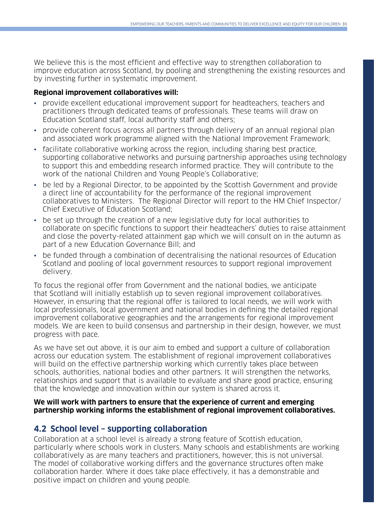We believe this is the most efficient and effective way to strengthen collaboration to improve education across Scotland, by pooling and strengthening the existing resources and by investing further in systematic improvement.

#### **Regional improvement collaboratives will:**

- provide excellent educational improvement support for headteachers, teachers and practitioners through dedicated teams of professionals. These teams will draw on Education Scotland staff, local authority staff and others;
- provide coherent focus across all partners through delivery of an annual regional plan and associated work programme aligned with the National Improvement Framework;
- facilitate collaborative working across the region, including sharing best practice, supporting collaborative networks and pursuing partnership approaches using technology to support this and embedding research informed practice. They will contribute to the work of the national Children and Young People's Collaborative;
- be led by a Regional Director, to be appointed by the Scottish Government and provide a direct line of accountability for the performance of the regional improvement collaboratives to Ministers. The Regional Director will report to the HM Chief Inspector/ Chief Executive of Education Scotland;
- be set up through the creation of a new legislative duty for local authorities to collaborate on specific functions to support their headteachers' duties to raise attainment and close the poverty-related attainment gap which we will consult on in the autumn as part of a new Education Governance Bill; and
- be funded through a combination of decentralising the national resources of Education Scotland and pooling of local government resources to support regional improvement delivery.

To focus the regional offer from Government and the national bodies, we anticipate that Scotland will initially establish up to seven regional improvement collaboratives. However, in ensuring that the regional offer is tailored to local needs, we will work with local professionals, local government and national bodies in defining the detailed regional improvement collaborative geographies and the arrangements for regional improvement models. We are keen to build consensus and partnership in their design, however, we must progress with pace.

As we have set out above, it is our aim to embed and support a culture of collaboration across our education system. The establishment of regional improvement collaboratives will build on the effective partnership working which currently takes place between schools, authorities, national bodies and other partners. It will strengthen the networks, relationships and support that is available to evaluate and share good practice, ensuring that the knowledge and innovation within our system is shared across it.

#### **We will work with partners to ensure that the experience of current and emerging partnership working informs the establishment of regional improvement collaboratives.**

### **4.2 School level – supporting collaboration**

Collaboration at a school level is already a strong feature of Scottish education, particularly where schools work in clusters. Many schools and establishments are working collaboratively as are many teachers and practitioners, however, this is not universal. The model of collaborative working differs and the governance structures often make collaboration harder. Where it does take place effectively, it has a demonstrable and positive impact on children and young people.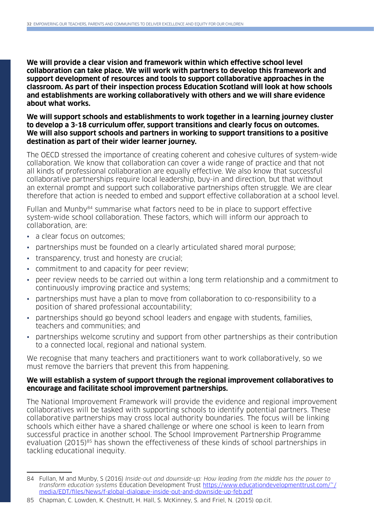**We will provide a clear vision and framework within which effective school level collaboration can take place. We will work with partners to develop this framework and support development of resources and tools to support collaborative approaches in the classroom. As part of their inspection process Education Scotland will look at how schools and establishments are working collaboratively with others and we will share evidence about what works.**

**We will support schools and establishments to work together in a learning journey cluster to develop a 3-18 curriculum offer, support transitions and clearly focus on outcomes. We will also support schools and partners in working to support transitions to a positive destination as part of their wider learner journey.**

The OECD stressed the importance of creating coherent and cohesive cultures of system-wide collaboration. We know that collaboration can cover a wide range of practice and that not all kinds of professional collaboration are equally effective. We also know that successful collaborative partnerships require local leadership, buy-in and direction, but that without an external prompt and support such collaborative partnerships often struggle. We are clear therefore that action is needed to embed and support effective collaboration at a school level.

Fullan and Munby<sup>84</sup> summarise what factors need to be in place to support effective system-wide school collaboration. These factors, which will inform our approach to collaboration, are:

- a clear focus on outcomes:
- partnerships must be founded on a clearly articulated shared moral purpose;
- transparency, trust and honesty are crucial;
- commitment to and capacity for peer review;
- peer review needs to be carried out within a long term relationship and a commitment to continuously improving practice and systems;
- partnerships must have a plan to move from collaboration to co-responsibility to a position of shared professional accountability;
- partnerships should go beyond school leaders and engage with students, families, teachers and communities; and
- partnerships welcome scrutiny and support from other partnerships as their contribution to a connected local, regional and national system.

We recognise that many teachers and practitioners want to work collaboratively, so we must remove the barriers that prevent this from happening.

#### **We will establish a system of support through the regional improvement collaboratives to encourage and facilitate school improvement partnerships.**

The National Improvement Framework will provide the evidence and regional improvement collaboratives will be tasked with supporting schools to identify potential partners. These collaborative partnerships may cross local authority boundaries. The focus will be linking schools which either have a shared challenge or where one school is keen to learn from successful practice in another school. The School Improvement Partnership Programme evaluation (2015)<sup>85</sup> has shown the effectiveness of these kinds of school partnerships in tackling educational inequity.

<sup>84</sup> Fullan, M and Munby, S (2016) Inside-out and downside-up: How leading from the middle has the power to transform education systems Education Development Trust [https://www.educationdevelopmenttrust.com/~/](https://www.educationdevelopmenttrust.com/~/media/EDT/files/News/f-global-dialogue-inside-out-and-downside-up-feb.pdf) [media/EDT/files/News/f-global-dialogue-inside-out-and-downside-up-feb.pdf](https://www.educationdevelopmenttrust.com/~/media/EDT/files/News/f-global-dialogue-inside-out-and-downside-up-feb.pdf)

<sup>85</sup> Chapman, C. Lowden, K. Chestnutt, H. Hall, S. McKinney, S. and Friel, N. (2015) op.cit.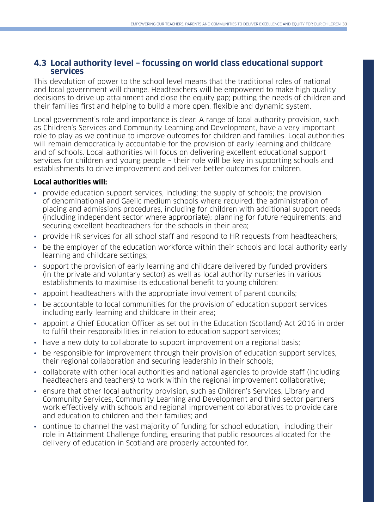### **4.3 Local authority level – focussing on world class educational support services**

This devolution of power to the school level means that the traditional roles of national and local government will change. Headteachers will be empowered to make high quality decisions to drive up attainment and close the equity gap; putting the needs of children and their families first and helping to build a more open, flexible and dynamic system.

Local government's role and importance is clear. A range of local authority provision, such as Children's Services and Community Learning and Development, have a very important role to play as we continue to improve outcomes for children and families. Local authorities will remain democratically accountable for the provision of early learning and childcare and of schools. Local authorities will focus on delivering excellent educational support services for children and young people – their role will be key in supporting schools and establishments to drive improvement and deliver better outcomes for children.

#### **Local authorities will:**

- provide education support services, including: the supply of schools; the provision of denominational and Gaelic medium schools where required; the administration of placing and admissions procedures, including for children with additional support needs (including independent sector where appropriate); planning for future requirements; and securing excellent headteachers for the schools in their area;
- provide HR services for all school staff and respond to HR requests from headteachers;
- be the employer of the education workforce within their schools and local authority early learning and childcare settings;
- support the provision of early learning and childcare delivered by funded providers (in the private and voluntary sector) as well as local authority nurseries in various establishments to maximise its educational benefit to young children;
- appoint headteachers with the appropriate involvement of parent councils;
- be accountable to local communities for the provision of education support services including early learning and childcare in their area;
- appoint a Chief Education Officer as set out in the Education (Scotland) Act 2016 in order to fulfil their responsibilities in relation to education support services;
- have a new duty to collaborate to support improvement on a regional basis;
- be responsible for improvement through their provision of education support services, their regional collaboration and securing leadership in their schools;
- collaborate with other local authorities and national agencies to provide staff (including headteachers and teachers) to work within the regional improvement collaborative;
- ensure that other local authority provision, such as Children's Services, Library and Community Services, Community Learning and Development and third sector partners work effectively with schools and regional improvement collaboratives to provide care and education to children and their families; and
- continue to channel the vast majority of funding for school education, including their role in Attainment Challenge funding, ensuring that public resources allocated for the delivery of education in Scotland are properly accounted for.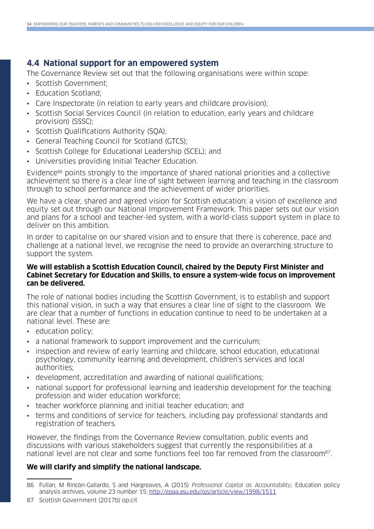## **4.4 National support for an empowered system**

The Governance Review set out that the following organisations were within scope:

- Scottish Government;
- Education Scotland;
- Care Inspectorate (in relation to early years and childcare provision);
- Scottish Social Services Council (in relation to education, early years and childcare provision) (SSSC);
- Scottish Qualifications Authority (SQA);
- General Teaching Council for Scotland (GTCS);
- Scottish College for Educational Leadership (SCEL); and
- Universities providing Initial Teacher Education.

Evidence<sup>86</sup> points strongly to the importance of shared national priorities and a collective achievement so there is a clear line of sight between learning and teaching in the classroom through to school performance and the achievement of wider priorities.

We have a clear, shared and agreed vision for Scottish education: a vision of excellence and equity set out through our National Improvement Framework. This paper sets out our vision and plans for a school and teacher-led system, with a world-class support system in place to deliver on this ambition.

In order to capitalise on our shared vision and to ensure that there is coherence, pace and challenge at a national level, we recognise the need to provide an overarching structure to support the system.

#### **We will establish a Scottish Education Council, chaired by the Deputy First Minister and Cabinet Secretary for Education and Skills, to ensure a system-wide focus on improvement can be delivered.**

The role of national bodies including the Scottish Government, is to establish and support this national vision, in such a way that ensures a clear line of sight to the classroom. We are clear that a number of functions in education continue to need to be undertaken at a national level. These are:

- education policy;
- a national framework to support improvement and the curriculum;
- inspection and review of early learning and childcare, school education, educational psychology, community learning and development, children's services and local authorities;
- development, accreditation and awarding of national qualifications;
- national support for professional learning and leadership development for the teaching profession and wider education workforce;
- teacher workforce planning and initial teacher education; and
- terms and conditions of service for teachers, including pay professional standards and registration of teachers.

However, the findings from the Governance Review consultation, public events and discussions with various stakeholders suggest that currently the responsibilities at a national level are not clear and some functions feel too far removed from the classroom<sup>87</sup>.

### **We will clarify and simplify the national landscape.**

87 Scottish Government (2017b) op.cit

<sup>86</sup> Fullan, M Rincón-Gallardo, S and Hargreaves, A (2015) Professional Capital as Accountability; Education policy analysis archives, volume 23 number 15; <http://epaa.asu.edu/ojs/article/view/1998/1511>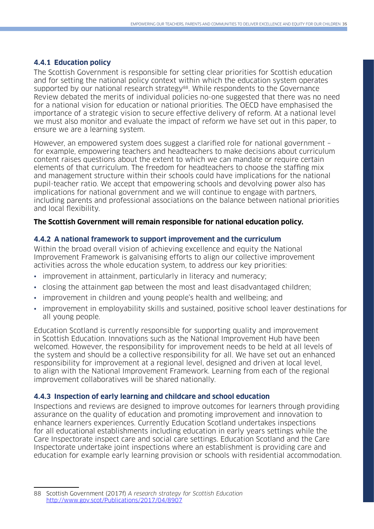#### **4.4.1 Education policy**

The Scottish Government is responsible for setting clear priorities for Scottish education and for setting the national policy context within which the education system operates supported by our national research strategy<sup>88</sup>. While respondents to the Governance Review debated the merits of individual policies no-one suggested that there was no need for a national vision for education or national priorities. The OECD have emphasised the importance of a strategic vision to secure effective delivery of reform. At a national level we must also monitor and evaluate the impact of reform we have set out in this paper, to ensure we are a learning system.

However, an empowered system does suggest a clarified role for national government – for example, empowering teachers and headteachers to make decisions about curriculum content raises questions about the extent to which we can mandate or require certain elements of that curriculum. The freedom for headteachers to choose the staffing mix and management structure within their schools could have implications for the national pupil-teacher ratio. We accept that empowering schools and devolving power also has implications for national government and we will continue to engage with partners, including parents and professional associations on the balance between national priorities and local flexibility.

#### **The Scottish Government will remain responsible for national education policy.**

#### **4.4.2 A national framework to support improvement and the curriculum**

Within the broad overall vision of achieving excellence and equity the National Improvement Framework is galvanising efforts to align our collective improvement activities across the whole education system, to address our key priorities:

- improvement in attainment, particularly in literacy and numeracy;
- closing the attainment gap between the most and least disadvantaged children;
- improvement in children and young people's health and wellbeing; and
- improvement in employability skills and sustained, positive school leaver destinations for all young people.

Education Scotland is currently responsible for supporting quality and improvement in Scottish Education. Innovations such as the National Improvement Hub have been welcomed. However, the responsibility for improvement needs to be held at all levels of the system and should be a collective responsibility for all. We have set out an enhanced responsibility for improvement at a regional level, designed and driven at local level, to align with the National Improvement Framework. Learning from each of the regional improvement collaboratives will be shared nationally.

#### **4.4.3 Inspection of early learning and childcare and school education**

Inspections and reviews are designed to improve outcomes for learners through providing assurance on the quality of education and promoting improvement and innovation to enhance learners experiences. Currently Education Scotland undertakes inspections for all educational establishments including education in early years settings while the Care Inspectorate inspect care and social care settings. Education Scotland and the Care Inspectorate undertake joint inspections where an establishment is providing care and education for example early learning provision or schools with residential accommodation.

<sup>88</sup> Scottish Government (2017f) A research strategy for Scottish Education <http://www.gov.scot/Publications/2017/04/8907>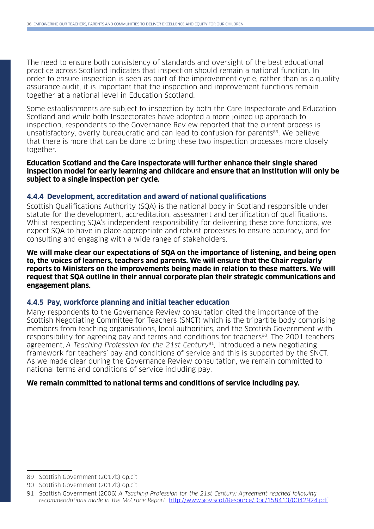The need to ensure both consistency of standards and oversight of the best educational practice across Scotland indicates that inspection should remain a national function. In order to ensure inspection is seen as part of the improvement cycle, rather than as a quality assurance audit, it is important that the inspection and improvement functions remain together at a national level in Education Scotland.

Some establishments are subject to inspection by both the Care Inspectorate and Education Scotland and while both Inspectorates have adopted a more joined up approach to inspection, respondents to the Governance Review reported that the current process is unsatisfactory, overly bureaucratic and can lead to confusion for parents<sup>89</sup>. We believe that there is more that can be done to bring these two inspection processes more closely together.

**Education Scotland and the Care Inspectorate will further enhance their single shared inspection model for early learning and childcare and ensure that an institution will only be subject to a single inspection per cycle.**

#### **4.4.4 Development, accreditation and award of national qualifications**

Scottish Qualifications Authority (SQA) is the national body in Scotland responsible under statute for the development, accreditation, assessment and certification of qualifications. Whilst respecting SQA's independent responsibility for delivering these core functions, we expect SQA to have in place appropriate and robust processes to ensure accuracy, and for consulting and engaging with a wide range of stakeholders.

**We will make clear our expectations of SQA on the importance of listening, and being open to, the voices of learners, teachers and parents. We will ensure that the Chair regularly reports to Ministers on the improvements being made in relation to these matters. We will request that SQA outline in their annual corporate plan their strategic communications and engagement plans.**

#### **4.4.5 Pay, workforce planning and initial teacher education**

Many respondents to the Governance Review consultation cited the importance of the Scottish Negotiating Committee for Teachers (SNCT) which is the tripartite body comprising members from teaching organisations, local authorities, and the Scottish Government with responsibility for agreeing pay and terms and conditions for teachers<sup>90</sup>. The 2001 teachers' agreement, A Teaching Profession for the 21st Century<sup>91</sup>, introduced a new negotiating framework for teachers' pay and conditions of service and this is supported by the SNCT. As we made clear during the Governance Review consultation, we remain committed to national terms and conditions of service including pay.

#### **We remain committed to national terms and conditions of service including pay.**

<sup>89</sup> Scottish Government (2017b) op.cit

<sup>90</sup> Scottish Government (2017b) op.cit

<sup>91</sup> Scottish Government (2006) A Teaching Profession for the 21st Century: Agreement reached following recommendations made in the McCrone Report. <http://www.gov.scot/Resource/Doc/158413/0042924.pdf>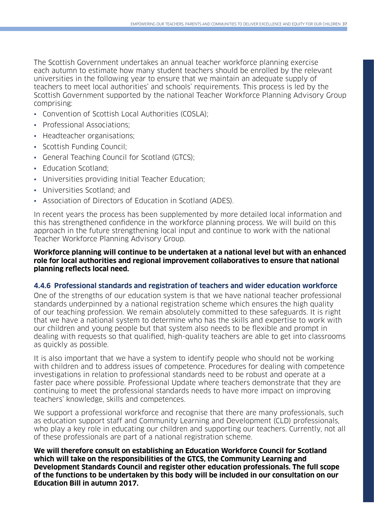The Scottish Government undertakes an annual teacher workforce planning exercise each autumn to estimate how many student teachers should be enrolled by the relevant universities in the following year to ensure that we maintain an adequate supply of teachers to meet local authorities' and schools' requirements. This process is led by the Scottish Government supported by the national Teacher Workforce Planning Advisory Group comprising:

- Convention of Scottish Local Authorities (COSLA);
- Professional Associations;
- Headteacher organisations:
- Scottish Funding Council;
- General Teaching Council for Scotland (GTCS);
- Education Scotland;
- Universities providing Initial Teacher Education;
- Universities Scotland; and
- Association of Directors of Education in Scotland (ADES).

In recent years the process has been supplemented by more detailed local information and this has strengthened confidence in the workforce planning process. We will build on this approach in the future strengthening local input and continue to work with the national Teacher Workforce Planning Advisory Group.

#### **Workforce planning will continue to be undertaken at a national level but with an enhanced role for local authorities and regional improvement collaboratives to ensure that national planning reflects local need.**

#### **4.4.6 Professional standards and registration of teachers and wider education workforce**

One of the strengths of our education system is that we have national teacher professional standards underpinned by a national registration scheme which ensures the high quality of our teaching profession. We remain absolutely committed to these safeguards. It is right that we have a national system to determine who has the skills and expertise to work with our children and young people but that system also needs to be flexible and prompt in dealing with requests so that qualified, high-quality teachers are able to get into classrooms as quickly as possible.

It is also important that we have a system to identify people who should not be working with children and to address issues of competence. Procedures for dealing with competence investigations in relation to professional standards need to be robust and operate at a faster pace where possible. Professional Update where teachers demonstrate that they are continuing to meet the professional standards needs to have more impact on improving teachers' knowledge, skills and competences.

We support a professional workforce and recognise that there are many professionals, such as education support staff and Community Learning and Development (CLD) professionals, who play a key role in educating our children and supporting our teachers. Currently, not all of these professionals are part of a national registration scheme.

**We will therefore consult on establishing an Education Workforce Council for Scotland which will take on the responsibilities of the GTCS, the Community Learning and Development Standards Council and register other education professionals. The full scope of the functions to be undertaken by this body will be included in our consultation on our Education Bill in autumn 2017.**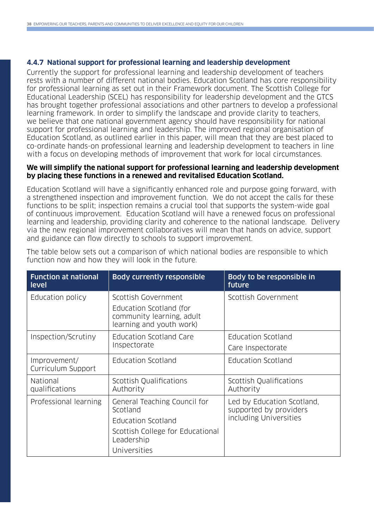#### **4.4.7 National support for professional learning and leadership development**

Currently the support for professional learning and leadership development of teachers rests with a number of different national bodies. Education Scotland has core responsibility for professional learning as set out in their Framework document. The Scottish College for Educational Leadership (SCEL) has responsibility for leadership development and the GTCS has brought together professional associations and other partners to develop a professional learning framework. In order to simplify the landscape and provide clarity to teachers, we believe that one national government agency should have responsibility for national support for professional learning and leadership. The improved regional organisation of Education Scotland, as outlined earlier in this paper, will mean that they are best placed to co-ordinate hands-on professional learning and leadership development to teachers in line with a focus on developing methods of improvement that work for local circumstances.

#### **We will simplify the national support for professional learning and leadership development by placing these functions in a renewed and revitalised Education Scotland.**

Education Scotland will have a significantly enhanced role and purpose going forward, with a strengthened inspection and improvement function. We do not accept the calls for these functions to be split; inspection remains a crucial tool that supports the system-wide goal of continuous improvement. Education Scotland will have a renewed focus on professional learning and leadership, providing clarity and coherence to the national landscape. Delivery via the new regional improvement collaboratives will mean that hands on advice, support and guidance can flow directly to schools to support improvement.

| <b>Function at national</b><br>level | <b>Body currently responsible</b>                                                | Body to be responsible in<br>future                  |
|--------------------------------------|----------------------------------------------------------------------------------|------------------------------------------------------|
| Education policy                     | Scottish Government                                                              | Scottish Government                                  |
|                                      | Education Scotland (for<br>community learning, adult<br>learning and youth work) |                                                      |
| Inspection/Scrutiny                  | <b>Education Scotland Care</b><br>Inspectorate                                   | Education Scotland                                   |
|                                      |                                                                                  | Care Inspectorate                                    |
| Improvement/<br>Curriculum Support   | Education Scotland                                                               | Education Scotland                                   |
| National<br>qualifications           | Scottish Qualifications<br>Authority                                             | Scottish Qualifications<br>Authority                 |
| Professional learning                | General Teaching Council for<br>Scotland                                         | Led by Education Scotland,<br>supported by providers |
|                                      | Education Scotland                                                               | including Universities                               |
|                                      | Scottish College for Educational<br>Leadership                                   |                                                      |
|                                      | Universities                                                                     |                                                      |

The table below sets out a comparison of which national bodies are responsible to which function now and how they will look in the future.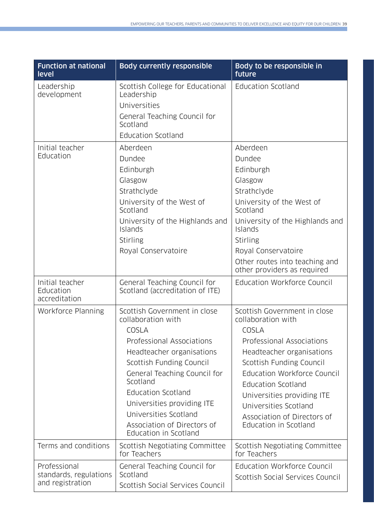| <b>Function at national</b><br>level                       | <b>Body currently responsible</b>                                                                                                                                                                                                                                                                                                         | Body to be responsible in<br>future                                                                                                                                                                                                                                                                                          |
|------------------------------------------------------------|-------------------------------------------------------------------------------------------------------------------------------------------------------------------------------------------------------------------------------------------------------------------------------------------------------------------------------------------|------------------------------------------------------------------------------------------------------------------------------------------------------------------------------------------------------------------------------------------------------------------------------------------------------------------------------|
| Leadership<br>development                                  | Scottish College for Educational<br>Leadership<br>Universities<br>General Teaching Council for<br>Scotland<br><b>Education Scotland</b>                                                                                                                                                                                                   | <b>Education Scotland</b>                                                                                                                                                                                                                                                                                                    |
| Initial teacher<br>Education                               | Aberdeen<br>Dundee<br>Edinburgh<br>Glasgow<br>Strathclyde<br>University of the West of<br>Scotland<br>University of the Highlands and<br>Islands<br>Stirling<br>Royal Conservatoire                                                                                                                                                       | Aberdeen<br>Dundee<br>Edinburgh<br>Glasgow<br>Strathclyde<br>University of the West of<br>Scotland<br>University of the Highlands and<br>Islands<br>Stirling<br>Royal Conservatoire<br>Other routes into teaching and<br>other providers as required                                                                         |
| Initial teacher<br>Education<br>accreditation              | General Teaching Council for<br>Scotland (accreditation of ITE)                                                                                                                                                                                                                                                                           | Education Workforce Council                                                                                                                                                                                                                                                                                                  |
| Workforce Planning                                         | Scottish Government in close<br>collaboration with<br>COSLA<br>Professional Associations<br>Headteacher organisations<br>Scottish Funding Council<br>General Teaching Council for<br>Scotland<br><b>Education Scotland</b><br>Universities providing ITE<br>Universities Scotland<br>Association of Directors of<br>Education in Scotland | Scottish Government in close<br>collaboration with<br>COSLA<br>Professional Associations<br>Headteacher organisations<br>Scottish Funding Council<br>Education Workforce Council<br><b>Education Scotland</b><br>Universities providing ITE<br>Universities Scotland<br>Association of Directors of<br>Education in Scotland |
| Terms and conditions                                       | Scottish Negotiating Committee<br>for Teachers                                                                                                                                                                                                                                                                                            | Scottish Negotiating Committee<br>for Teachers                                                                                                                                                                                                                                                                               |
| Professional<br>standards, regulations<br>and registration | General Teaching Council for<br>Scotland<br>Scottish Social Services Council                                                                                                                                                                                                                                                              | Education Workforce Council<br>Scottish Social Services Council                                                                                                                                                                                                                                                              |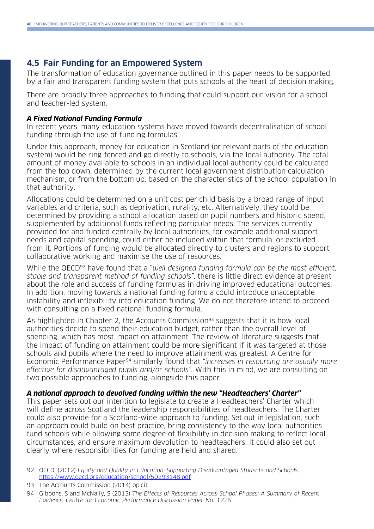## **4.5 Fair Funding for an Empowered System**

The transformation of education governance outlined in this paper needs to be supported by a fair and transparent funding system that puts schools at the heart of decision making.

There are broadly three approaches to funding that could support our vision for a school and teacher-led system.

#### **A Fixed National Funding Formula**

In recent years, many education systems have moved towards decentralisation of school funding through the use of funding formulas.

Under this approach, money for education in Scotland (or relevant parts of the education system) would be ring-fenced and go directly to schools, via the local authority. The total amount of money available to schools in an individual local authority could be calculated from the top down, determined by the current local government distribution calculation mechanism, or from the bottom up, based on the characteristics of the school population in that authority.

Allocations could be determined on a unit cost per child basis by a broad range of input variables and criteria, such as deprivation, rurality, etc. Alternatively, they could be determined by providing a school allocation based on pupil numbers and historic spend, supplemented by additional funds reflecting particular needs. The services currently provided for and funded centrally by local authorities, for example additional support needs and capital spending, could either be included within that formula, or excluded from it. Portions of funding would be allocated directly to clusters and regions to support collaborative working and maximise the use of resources.

While the OECD<sup>92</sup> have found that a "well designed funding formula can be the most efficient, stable and transparent method of funding schools", there is little direct evidence at present about the role and success of funding formulas in driving improved educational outcomes. In addition, moving towards a national funding formula could introduce unacceptable instability and inflexibility into education funding. We do not therefore intend to proceed with consulting on a fixed national funding formula.

As highlighted in Chapter 2, the Accounts Commission93 suggests that it is how local authorities decide to spend their education budget, rather than the overall level of spending, which has most impact on attainment. The review of literature suggests that the impact of funding on attainment could be more significant if it was targeted at those schools and pupils where the need to improve attainment was greatest. A Centre for Economic Performance Paper<sup>94</sup> similarly found that "increases in resourcing are usually more effective for disadvantaged pupils and/or schools". With this in mind, we are consulting on two possible approaches to funding, alongside this paper.

#### **A national approach to devolved funding within the new "Headteachers' Charter"**

This paper sets out our intention to legislate to create a Headteachers' Charter which will define across Scotland the leadership responsibilities of headteachers. The Charter could also provide for a Scotland-wide approach to funding. Set out in legislation, such an approach could build on best practice, bring consistency to the way local authorities fund schools while allowing some degree of flexibility in decision making to reflect local circumstances, and ensure maximum devolution to headteachers. It could also set out clearly where responsibilities for funding are held and shared.

<sup>92</sup> OECD, (2012) Equity and Quality in Education: Supporting Disadvantaged Students and Schools. <https://www.oecd.org/education/school/50293148.pdf>

<sup>93</sup> The Accounts Commission (2014) op.cit.

<sup>94</sup> Gibbons, S and McNally, S (2013) The Effects of Resources Across School Phases: A Summary of Recent Evidence, Centre for Economic Performance Discussion Paper No. 1226.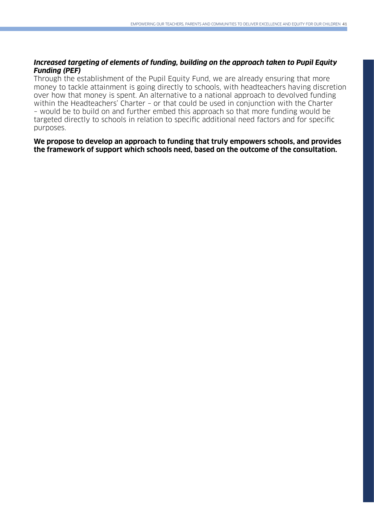#### **Increased targeting of elements of funding, building on the approach taken to Pupil Equity Funding (PEF)**

Through the establishment of the Pupil Equity Fund, we are already ensuring that more money to tackle attainment is going directly to schools, with headteachers having discretion over how that money is spent. An alternative to a national approach to devolved funding within the Headteachers' Charter – or that could be used in conjunction with the Charter – would be to build on and further embed this approach so that more funding would be targeted directly to schools in relation to specific additional need factors and for specific purposes.

**We propose to develop an approach to funding that truly empowers schools, and provides the framework of support which schools need, based on the outcome of the consultation.**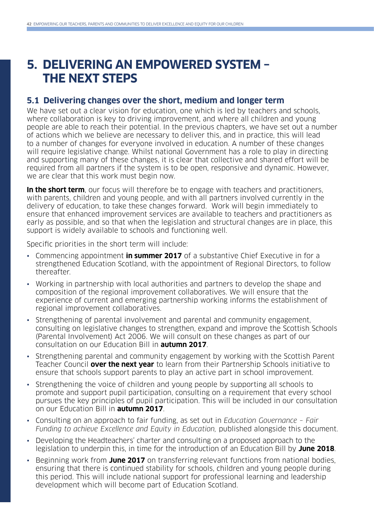## **5. DELIVERING AN EMPOWERED SYSTEM – THE NEXT STEPS**

#### **5.1 Delivering changes over the short, medium and longer term**

We have set out a clear vision for education, one which is led by teachers and schools. where collaboration is key to driving improvement, and where all children and young people are able to reach their potential. In the previous chapters, we have set out a number of actions which we believe are necessary to deliver this, and in practice, this will lead to a number of changes for everyone involved in education. A number of these changes will require legislative change. Whilst national Government has a role to play in directing and supporting many of these changes, it is clear that collective and shared effort will be required from all partners if the system is to be open, responsive and dynamic. However, we are clear that this work must begin now.

**In the short term**, our focus will therefore be to engage with teachers and practitioners, with parents, children and young people, and with all partners involved currently in the delivery of education, to take these changes forward. Work will begin immediately to ensure that enhanced improvement services are available to teachers and practitioners as early as possible, and so that when the legislation and structural changes are in place, this support is widely available to schools and functioning well.

Specific priorities in the short term will include:

- Commencing appointment **in summer 2017** of a substantive Chief Executive in for a strengthened Education Scotland, with the appointment of Regional Directors, to follow thereafter.
- Working in partnership with local authorities and partners to develop the shape and composition of the regional improvement collaboratives. We will ensure that the experience of current and emerging partnership working informs the establishment of regional improvement collaboratives.
- Strengthening of parental involvement and parental and community engagement, consulting on legislative changes to strengthen, expand and improve the Scottish Schools (Parental Involvement) Act 2006. We will consult on these changes as part of our consultation on our Education Bill in **autumn 2017**.
- Strengthening parental and community engagement by working with the Scottish Parent Teacher Council **over the next year** to learn from their Partnership Schools initiative to ensure that schools support parents to play an active part in school improvement.
- Strengthening the voice of children and young people by supporting all schools to promote and support pupil participation, consulting on a requirement that every school pursues the key principles of pupil participation. This will be included in our consultation on our Education Bill in **autumn 2017**.
- Consulting on an approach to fair funding, as set out in Education Governance Fair Funding to achieve Excellence and Equity in Education, published alongside this document.
- Developing the Headteachers' charter and consulting on a proposed approach to the legislation to underpin this, in time for the introduction of an Education Bill by **June 2018**.
- Beginning work from **June 2017** on transferring relevant functions from national bodies, ensuring that there is continued stability for schools, children and young people during this period. This will include national support for professional learning and leadership development which will become part of Education Scotland.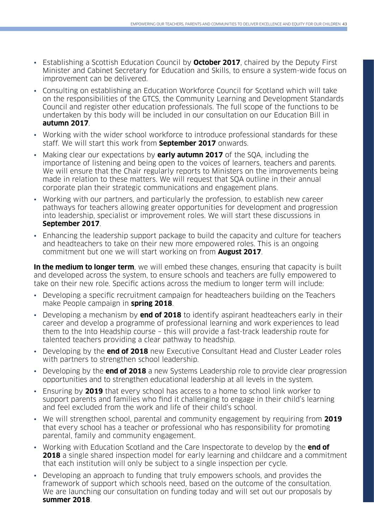- Establishing a Scottish Education Council by **October 2017**, chaired by the Deputy First Minister and Cabinet Secretary for Education and Skills, to ensure a system-wide focus on improvement can be delivered.
- Consulting on establishing an Education Workforce Council for Scotland which will take on the responsibilities of the GTCS, the Community Learning and Development Standards Council and register other education professionals. The full scope of the functions to be undertaken by this body will be included in our consultation on our Education Bill in **autumn 2017**.
- Working with the wider school workforce to introduce professional standards for these staff. We will start this work from **September 2017** onwards.
- Making clear our expectations by **early autumn 2017** of the SQA, including the importance of listening and being open to the voices of learners, teachers and parents. We will ensure that the Chair regularly reports to Ministers on the improvements being made in relation to these matters. We will request that SQA outline in their annual corporate plan their strategic communications and engagement plans.
- Working with our partners, and particularly the profession, to establish new career pathways for teachers allowing greater opportunities for development and progression into leadership, specialist or improvement roles. We will start these discussions in **September 2017**.
- Enhancing the leadership support package to build the capacity and culture for teachers and headteachers to take on their new more empowered roles. This is an ongoing commitment but one we will start working on from **August 2017**.

**In the medium to longer term**, we will embed these changes, ensuring that capacity is built and developed across the system, to ensure schools and teachers are fully empowered to take on their new role. Specific actions across the medium to longer term will include:

- Developing a specific recruitment campaign for headteachers building on the Teachers make People campaign in **spring 2018**.
- Developing a mechanism by **end of 2018** to identify aspirant headteachers early in their career and develop a programme of professional learning and work experiences to lead them to the Into Headship course – this will provide a fast-track leadership route for talented teachers providing a clear pathway to headship.
- Developing by the **end of 2018** new Executive Consultant Head and Cluster Leader roles with partners to strengthen school leadership.
- Developing by the **end of 2018** a new Systems Leadership role to provide clear progression opportunities and to strengthen educational leadership at all levels in the system.
- Ensuring by **2019** that every school has access to a home to school link worker to support parents and families who find it challenging to engage in their child's learning and feel excluded from the work and life of their child's school.
- We will strengthen school, parental and community engagement by requiring from **2019** that every school has a teacher or professional who has responsibility for promoting parental, family and community engagement.
- Working with Education Scotland and the Care Inspectorate to develop by the **end of 2018** a single shared inspection model for early learning and childcare and a commitment that each institution will only be subject to a single inspection per cycle.
- Developing an approach to funding that truly empowers schools, and provides the framework of support which schools need, based on the outcome of the consultation. We are launching our consultation on funding today and will set out our proposals by **summer 2018**.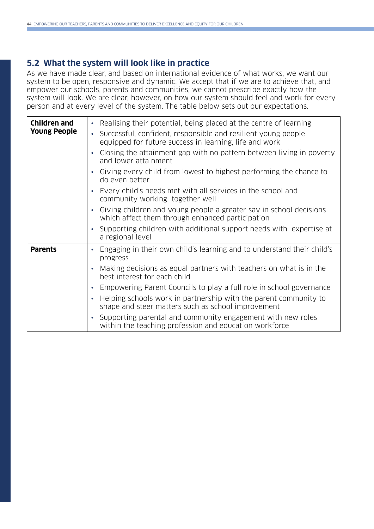## **5.2 What the system will look like in practice**

As we have made clear, and based on international evidence of what works, we want our system to be open, responsive and dynamic. We accept that if we are to achieve that, and empower our schools, parents and communities, we cannot prescribe exactly how the system will look. We are clear, however, on how our system should feel and work for every person and at every level of the system. The table below sets out our expectations.

| <b>Children and</b><br><b>Young People</b> | Realising their potential, being placed at the centre of learning<br>$\bullet$<br>Successful, confident, responsible and resilient young people<br>equipped for future success in learning, life and work<br>Closing the attainment gap with no pattern between living in poverty<br>$\bullet$<br>and lower attainment<br>Giving every child from lowest to highest performing the chance to<br>do even better<br>Every child's needs met with all services in the school and<br>community working together well<br>• Giving children and young people a greater say in school decisions<br>which affect them through enhanced participation |
|--------------------------------------------|----------------------------------------------------------------------------------------------------------------------------------------------------------------------------------------------------------------------------------------------------------------------------------------------------------------------------------------------------------------------------------------------------------------------------------------------------------------------------------------------------------------------------------------------------------------------------------------------------------------------------------------------|
|                                            | Supporting children with additional support needs with expertise at<br>a regional level                                                                                                                                                                                                                                                                                                                                                                                                                                                                                                                                                      |
| <b>Parents</b>                             | Engaging in their own child's learning and to understand their child's<br>progress<br>Making decisions as equal partners with teachers on what is in the<br>best interest for each child<br>Empowering Parent Councils to play a full role in school governance<br>Helping schools work in partnership with the parent community to<br>shape and steer matters such as school improvement<br>Supporting parental and community engagement with new roles<br>within the teaching profession and education workforce                                                                                                                           |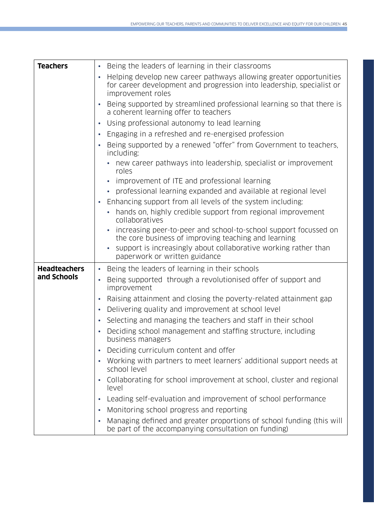| <b>Teachers</b>     | Being the leaders of learning in their classrooms                                                                                                                             |
|---------------------|-------------------------------------------------------------------------------------------------------------------------------------------------------------------------------|
|                     | Helping develop new career pathways allowing greater opportunities<br>$\bullet$<br>for career development and progression into leadership, specialist or<br>improvement roles |
|                     | Being supported by streamlined professional learning so that there is<br>$\bullet$<br>a coherent learning offer to teachers                                                   |
|                     | Using professional autonomy to lead learning<br>$\bullet$                                                                                                                     |
|                     | Engaging in a refreshed and re-energised profession<br>$\bullet$                                                                                                              |
|                     | Being supported by a renewed "offer" from Government to teachers,<br>$\bullet$<br>including:                                                                                  |
|                     | new career pathways into leadership, specialist or improvement<br>roles                                                                                                       |
|                     | improvement of ITE and professional learning                                                                                                                                  |
|                     | professional learning expanded and available at regional level                                                                                                                |
|                     | Enhancing support from all levels of the system including:<br>$\bullet$                                                                                                       |
|                     | hands on, highly credible support from regional improvement<br>$\bullet$<br>collaboratives                                                                                    |
|                     | increasing peer-to-peer and school-to-school support focussed on<br>the core business of improving teaching and learning                                                      |
|                     | support is increasingly about collaborative working rather than<br>paperwork or written guidance                                                                              |
| <b>Headteachers</b> | Being the leaders of learning in their schools<br>$\bullet$                                                                                                                   |
| and Schools         | Being supported through a revolutionised offer of support and<br>$\bullet$<br>improvement                                                                                     |
|                     | Raising attainment and closing the poverty-related attainment gap<br>$\bullet$                                                                                                |
|                     | Delivering quality and improvement at school level<br>$\bullet$                                                                                                               |
|                     | Selecting and managing the teachers and staff in their school<br>$\bullet$                                                                                                    |
|                     | Deciding school management and staffing structure, including<br>business managers                                                                                             |
|                     | Deciding curriculum content and offer<br>$\bullet$                                                                                                                            |
|                     | Working with partners to meet learners' additional support needs at<br>school level                                                                                           |
|                     | Collaborating for school improvement at school, cluster and regional<br>level                                                                                                 |
|                     | Leading self-evaluation and improvement of school performance<br>$\bullet$                                                                                                    |
|                     | Monitoring school progress and reporting                                                                                                                                      |
|                     |                                                                                                                                                                               |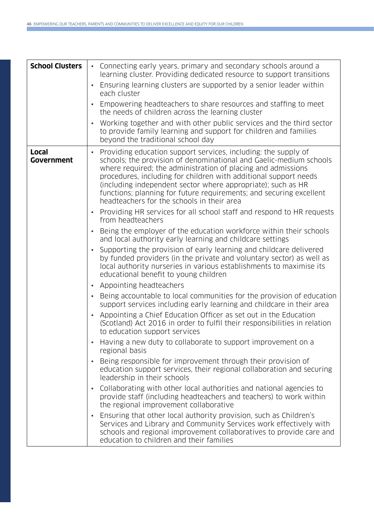| <b>School Clusters</b>            | Connecting early years, primary and secondary schools around a<br>learning cluster. Providing dedicated resource to support transitions<br>Ensuring learning clusters are supported by a senior leader within<br>each cluster<br>Empowering headteachers to share resources and staffing to meet<br>the needs of children across the learning cluster<br>Working together and with other public services and the third sector<br>to provide family learning and support for children and families<br>beyond the traditional school day                                                                                                                                                                                                                                                                                                                                                                                                                                                                                                                                                                                                                                                                                                                                                                                                                                                                                                                                                                                                                                                                                                                                                                                                                                                                                                                                                                                                                                                                                                                 |
|-----------------------------------|--------------------------------------------------------------------------------------------------------------------------------------------------------------------------------------------------------------------------------------------------------------------------------------------------------------------------------------------------------------------------------------------------------------------------------------------------------------------------------------------------------------------------------------------------------------------------------------------------------------------------------------------------------------------------------------------------------------------------------------------------------------------------------------------------------------------------------------------------------------------------------------------------------------------------------------------------------------------------------------------------------------------------------------------------------------------------------------------------------------------------------------------------------------------------------------------------------------------------------------------------------------------------------------------------------------------------------------------------------------------------------------------------------------------------------------------------------------------------------------------------------------------------------------------------------------------------------------------------------------------------------------------------------------------------------------------------------------------------------------------------------------------------------------------------------------------------------------------------------------------------------------------------------------------------------------------------------------------------------------------------------------------------------------------------------|
| <b>Local</b><br><b>Government</b> | Providing education support services, including: the supply of<br>schools; the provision of denominational and Gaelic-medium schools<br>where required; the administration of placing and admissions<br>procedures, including for children with additional support needs<br>(including independent sector where appropriate); such as HR<br>functions; planning for future requirements; and securing excellent<br>headteachers for the schools in their area<br>Providing HR services for all school staff and respond to HR requests<br>from headteachers<br>Being the employer of the education workforce within their schools<br>and local authority early learning and childcare settings<br>Supporting the provision of early learning and childcare delivered<br>by funded providers (in the private and voluntary sector) as well as<br>local authority nurseries in various establishments to maximise its<br>educational benefit to young children<br>Appointing headteachers<br>Being accountable to local communities for the provision of education<br>support services including early learning and childcare in their area<br>Appointing a Chief Education Officer as set out in the Education<br>(Scotland) Act 2016 in order to fulfil their responsibilities in relation<br>to education support services<br>Having a new duty to collaborate to support improvement on a<br>regional basis<br>Being responsible for improvement through their provision of<br>$\bullet$<br>education support services, their regional collaboration and securing<br>leadership in their schools<br>Collaborating with other local authorities and national agencies to<br>provide staff (including headteachers and teachers) to work within<br>the regional improvement collaborative<br>Ensuring that other local authority provision, such as Children's<br>Services and Library and Community Services work effectively with<br>schools and regional improvement collaboratives to provide care and<br>education to children and their families |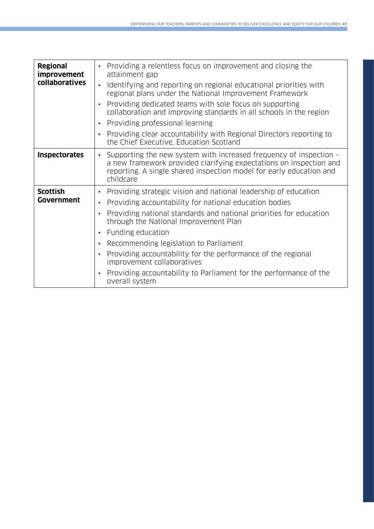| <b>Regional</b><br><i>improvement</i><br>collaboratives | Providing a relentless focus on improvement and closing the<br>$\bullet$<br>attainment gap<br>Identifying and reporting on regional educational priorities with<br>$\bullet$<br>regional plans under the National Improvement Framework<br>Providing dedicated teams with sole focus on supporting<br>$\bullet$<br>collaboration and improving standards in all schools in the region<br>Providing professional learning<br>$\bullet$<br>Providing clear accountability with Regional Directors reporting to<br>$\bullet$<br>the Chief Executive, Education Scotland                    |
|---------------------------------------------------------|-----------------------------------------------------------------------------------------------------------------------------------------------------------------------------------------------------------------------------------------------------------------------------------------------------------------------------------------------------------------------------------------------------------------------------------------------------------------------------------------------------------------------------------------------------------------------------------------|
| <b>Inspectorates</b>                                    | Supporting the new system with increased frequency of inspection -<br>$\bullet$<br>a new framework provided clarifying expectations on inspection and<br>reporting. A single shared inspection model for early education and<br>childcare                                                                                                                                                                                                                                                                                                                                               |
| <b>Scottish</b><br>Government                           | Providing strategic vision and national leadership of education<br>$\bullet$<br>Providing accountability for national education bodies<br>$\bullet$<br>Providing national standards and national priorities for education<br>$\bullet$<br>through the National Improvement Plan<br>Funding education<br>$\bullet$<br>Recommending legislation to Parliament<br>$\bullet$<br>Providing accountability for the performance of the regional<br>$\bullet$<br>improvement collaboratives<br>Providing accountability to Parliament for the performance of the<br>$\bullet$<br>overall system |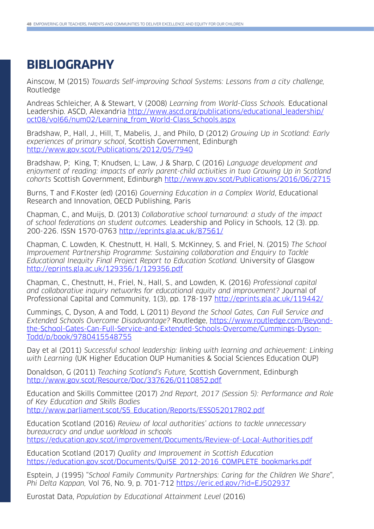## **BIBLIOGRAPHY**

Ainscow, M (2015) Towards Self-improving School Systems: Lessons from a city challenge, Routledge

Andreas Schleicher, A & Stewart, V (2008) Learning from World-Class Schools. Educational Leadership. ASCD, Alexandria [http://www.ascd.org/publications/educational\\_leadership/](http://www.ascd.org/publications/educational_leadership/oct08/vol66/num02/Learning_from_World-Class_Schools.aspx) [oct08/vol66/num02/Learning\\_from\\_World-Class\\_Schools.aspx](http://www.ascd.org/publications/educational_leadership/oct08/vol66/num02/Learning_from_World-Class_Schools.aspx)

Bradshaw, P., Hall, J., Hill, T., Mabelis, J., and Philo, D (2012) Growing Up in Scotland: Early experiences of primary school, Scottish Government, Edinburgh <http://www.gov.scot/Publications/2012/05/7940>

Bradshaw, P; King, T; Knudsen, L; Law, J & Sharp, C (2016) Language development and enjoyment of reading: impacts of early parent-child activities in two Growing Up in Scotland cohorts Scottish Government, Edinburgh <http://www.gov.scot/Publications/2016/06/2715>

Burns, T and F.Koster (ed) (2016) Governing Education in a Complex World, Educational Research and Innovation, OECD Publishing, Paris

Chapman, C., and Muijs, D. (2013) Collaborative school turnaround: a study of the impact of school federations on student outcomes. Leadership and Policy in Schools, 12 (3). pp. 200-226. ISSN 1570-0763 <http://eprints.gla.ac.uk/87561/>

Chapman, C. Lowden, K. Chestnutt, H. Hall, S. McKinney, S. and Friel, N. (2015) The School Improvement Partnership Programme: Sustaining collaboration and Enquiry to Tackle Educational Inequity Final Project Report to Education Scotland. University of Glasgow <http://eprints.gla.ac.uk/129356/1/129356.pdf>

Chapman, C., Chestnutt, H., Friel, N., Hall, S., and Lowden, K. (2016) Professional capital and collaborative inquiry networks for educational equity and improvement? Journal of Professional Capital and Community, 1(3), pp. 178-197<http://eprints.gla.ac.uk/119442/>

Cummings, C, Dyson, A and Todd, L (2011) Beyond the School Gates, Can Full Service and Extended Schools Overcome Disadvantage? Routledge, [https://www.routledge.com/Beyond](https://www.routledge.com/Beyond-the-School-Gates-Can-Full-Service-and-Extended-Schools-Overcome/Cummings-Dyson-Todd/p/book/9780415548755)[the-School-Gates-Can-Full-Service-and-Extended-Schools-Overcome/Cummings-Dyson-](https://www.routledge.com/Beyond-the-School-Gates-Can-Full-Service-and-Extended-Schools-Overcome/Cummings-Dyson-Todd/p/book/9780415548755)[Todd/p/book/9780415548755](https://www.routledge.com/Beyond-the-School-Gates-Can-Full-Service-and-Extended-Schools-Overcome/Cummings-Dyson-Todd/p/book/9780415548755)

Day et al (2011) Successful school leadership: linking with learning and achievement: Linking with Learning (UK Higher Education OUP Humanities & Social Sciences Education OUP)

Donaldson, G (2011) Teaching Scotland's Future, Scottish Government, Edinburgh <http://www.gov.scot/Resource/Doc/337626/0110852.pdf>

Education and Skills Committee (2017) 2nd Report, 2017 (Session 5): Performance and Role of Key Education and Skills Bodies [http://www.parliament.scot/S5\\_Education/Reports/ESS052017R02.pdf](http://www.parliament.scot/S5_Education/Reports/ESS052017R02.pdf)

Education Scotland (2016) Review of local authorities' actions to tackle unnecessary bureaucracy and undue workload in schools <https://education.gov.scot/improvement/Documents/Review-of-Local-Authorities.pdf>

Education Scotland (2017) Quality and Improvement in Scottish Education [https://education.gov.scot/Documents/QuISE\\_2012-2016\\_COMPLETE\\_bookmarks.pdf](https://education.gov.scot/Documents/QuISE_2012-2016_COMPLETE_bookmarks.pdf)

Esptein, J (1995) "School Family Community Partnerships: Caring for the Children We Share", Phi Delta Kappan, Vol 76, No. 9, p. 701-712 <https://eric.ed.gov/?id=EJ502937>

Eurostat Data, Population by Educational Attainment Level (2016)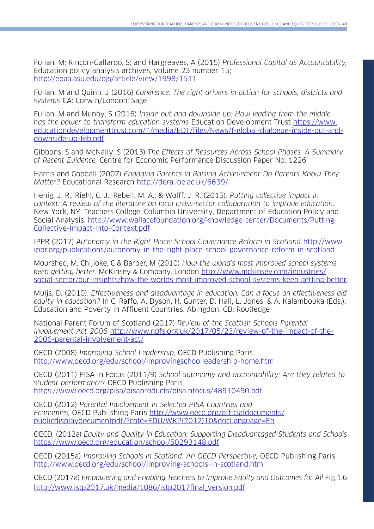Fullan, M; Rincón-Gallardo, S; and Hargreaves, A (2015) Professional Capital as Accountability, Education policy analysis archives, volume 23 number 15; <http://epaa.asu.edu/ojs/article/view/1998/1511>

Fullan, M and Quinn, J (2016) Coherence: The right drivers in action for schools, districts and systems CA: Corwin/London: Sage

Fullan, M and Munby, S (2016) Inside-out and downside-up: How leading from the middle has the power to transform education systems Education Development Trust [https://www.](https://www.educationdevelopmenttrust.com/~/media/EDT/files/News/f-global-dialogue-inside-out-and-downside-up-feb.pdf) [educationdevelopmenttrust.com/~/media/EDT/files/News/f-global-dialogue-inside-out-and](https://www.educationdevelopmenttrust.com/~/media/EDT/files/News/f-global-dialogue-inside-out-and-downside-up-feb.pdf)[downside-up-feb.pdf](https://www.educationdevelopmenttrust.com/~/media/EDT/files/News/f-global-dialogue-inside-out-and-downside-up-feb.pdf)

Gibbons, S and McNally, S (2013) The Effects of Resources Across School Phases: A Summary of Recent Evidence, Centre for Economic Performance Discussion Paper No. 1226

Harris and Goodall (2007) Engaging Parents in Raising Achievement Do Parents Know They Matter? Educational Research <http://dera.ioe.ac.uk/6639/>

Henig, J. R., Riehl, C. J., Rebell, M. A., & Wolff, J. R. (2015). Putting collective impact in context: A review of the literature on local cross-sector collaboration to improve education. New York, NY: Teachers College, Columbia University, Department of Education Policy and Social Analysis. [http://www.wallacefoundation.org/knowledge-center/Documents/Putting-](http://www.wallacefoundation.org/knowledge-center/Documents/Putting-Collective-Impact-Into-Context.pdf)[Collective-Impact-Into-Context.pdf](http://www.wallacefoundation.org/knowledge-center/Documents/Putting-Collective-Impact-Into-Context.pdf)

IPPR (2017) Autonomy in the Right Place: School Governance Reform in Scotland [http://www.](http://www.ippr.org/publications/autonomy-in-the-right-place-school-governance-reform-in-scotland) [ippr.org/publications/autonomy-in-the-right-place-school-governance-reform-in-scotland](http://www.ippr.org/publications/autonomy-in-the-right-place-school-governance-reform-in-scotland)

Mourshed, M, Chijioke, C & Barber, M (2010) How the world's most improved school systems keep getting better, McKinsey & Company, London [http://www.mckinsey.com/industries/](http://www.mckinsey.com/industries/social-sector/our-insights/how-the-worlds-most-improved-school-systems-keep-getting-better) [social-sector/our-insights/how-the-worlds-most-improved-school-systems-keep-getting-better](http://www.mckinsey.com/industries/social-sector/our-insights/how-the-worlds-most-improved-school-systems-keep-getting-better)

Muijs, D. (2010). Effectiveness and disadvantage in education. Can a focus on effectiveness aid equity in education? In C. Raffo, A. Dyson, H. Gunter, D. Hall, L. Jones, & A. Kalambouka (Eds.), Education and Poverty in Affluent Countries. Abingdon, GB: Routledge

National Parent Forum of Scotland (2017) Review of the Scottish Schools Parental Involvement Act 2006 [http://www.npfs.org.uk/2017/05/23/review-of-the-impact-of-the-](http://www.npfs.org.uk/2017/05/23/review-of-the-impact-of-the-2006-parental-involvement-act/)[2006-parental-involvement-act/](http://www.npfs.org.uk/2017/05/23/review-of-the-impact-of-the-2006-parental-involvement-act/)

OECD (2008) Improving School Leadership, OECD Publishing Paris <http://www.oecd.org/edu/school/improvingschoolleadership-home.htm>

OECD (2011) PISA in Focus (2011/9) School autonomy and accountability: Are they related to student performance? OECD Publishing Paris <https://www.oecd.org/pisa/pisaproducts/pisainfocus/48910490.pdf>

OECD (2012) Parental Involvement in Selected PISA Countries and Economies, OECD Publishing Paris [http://www.oecd.org/officialdocuments/](http://www.oecd.org/officialdocuments/publicdisplaydocumentpdf/?cote=EDU/WKP(2012)10&docLanguage=En) [publicdisplaydocumentpdf/?cote=EDU/WKP\(2012\)10&docLanguage=En](http://www.oecd.org/officialdocuments/publicdisplaydocumentpdf/?cote=EDU/WKP(2012)10&docLanguage=En)

OECD, (2012a) Equity and Quality in Education: Supporting Disadvantaged Students and Schools <https://www.oecd.org/education/school/50293148.pdf>

OECD (2015a) Improving Schools in Scotland: An OECD Perspective, OECD Publishing Paris <http://www.oecd.org/edu/school/improving-schools-in-scotland.htm>

OECD (2017a) Empowering and Enabling Teachers to Improve Equity and Outcomes for All Fig 1.6 [http://www.istp2017.uk/media/1086/istp2017final\\_version.pdf](http://www.istp2017.uk/media/1086/istp2017final_version.pdf)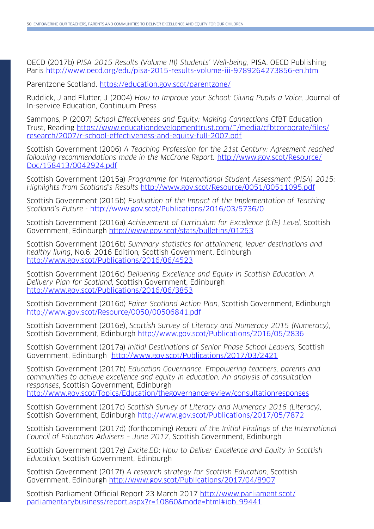OECD (2017b) PISA 2015 Results (Volume III) Students' Well-being, PISA, OECD Publishing Paris <http://www.oecd.org/edu/pisa-2015-results-volume-iii-9789264273856-en.htm>

Parentzone Scotland. https://education.gov.scot/parentzone/

Ruddick, J and Flutter, J (2004) How to Improve your School: Giving Pupils a Voice, Journal of In-service Education, Continuum Press

Sammons, P (2007) School Effectiveness and Equity: Making Connections CfBT Education Trust, Reading [https://www.educationdevelopmenttrust.com/~/media/cfbtcorporate/files/](https://www.educationdevelopmenttrust.com/~/media/cfbtcorporate/files/research/2007/r-school-effectiveness-and-equity-full-2007.pdf) [research/2007/r-school-effectiveness-and-equity-full-2007.pdf](https://www.educationdevelopmenttrust.com/~/media/cfbtcorporate/files/research/2007/r-school-effectiveness-and-equity-full-2007.pdf)

Scottish Government (2006) A Teaching Profession for the 21st Century: Agreement reached following recommendations made in the McCrone Report. [http://www.gov.scot/Resource/](http://www.gov.scot/Resource/Doc/158413/0042924.pdf) [Doc/158413/0042924.pdf](http://www.gov.scot/Resource/Doc/158413/0042924.pdf)

Scottish Government (2015a) Programme for International Student Assessment (PISA) 2015: Highlights from Scotland's Results <http://www.gov.scot/Resource/0051/00511095.pdf>

Scottish Government (2015b) Evaluation of the Impact of the Implementation of Teaching Scotland's Future - <http://www.gov.scot/Publications/2016/03/5736/0>

Scottish Government (2016a) Achievement of Curriculum for Excellence (CfE) Level, Scottish Government, Edinburgh <http://www.gov.scot/stats/bulletins/01253>

Scottish Government (2016b) Summary statistics for attainment, leaver destinations and healthy living, No.6: 2016 Edition, Scottish Government, Edinburgh http://www.gov.scot/Publications/2016/06/4523

Scottish Government (2016c) Delivering Excellence and Equity in Scottish Education: A Delivery Plan for Scotland, Scottish Government, Edinburgh <http://www.gov.scot/Publications/2016/06/3853>

Scottish Government (2016d) Fairer Scotland Action Plan, Scottish Government, Edinburgh <http://www.gov.scot/Resource/0050/00506841.pdf>

Scottish Government (2016e), Scottish Survey of Literacy and Numeracy 2015 (Numeracy), Scottish Government, Edinburgh<http://www.gov.scot/Publications/2016/05/2836>

Scottish Government (2017a) Initial Destinations of Senior Phase School Leavers, Scottish Government, Edinburgh <http://www.gov.scot/Publications/2017/03/2421>

Scottish Government (2017b) Education Governance. Empowering teachers, parents and communities to achieve excellence and equity in education. An analysis of consultation responses, Scottish Government, Edinburgh

<http://www.gov.scot/Topics/Education/thegovernancereview/consultationresponses>

Scottish Government (2017c) Scottish Survey of Literacy and Numeracy 2016 (Literacy), Scottish Government, Edinburgh<http://www.gov.scot/Publications/2017/05/7872>

Scottish Government (2017d) (forthcoming) Report of the Initial Findings of the International Council of Education Advisers – June 2017, Scottish Government, Edinburgh

Scottish Government (2017e) Excite.ED: How to Deliver Excellence and Equity in Scottish Education, Scottish Government, Edinburgh

Scottish Government (2017f) A research strategy for Scottish Education, Scottish Government, Edinburgh <http://www.gov.scot/Publications/2017/04/8907>

Scottish Parliament Official Report 23 March 2017 [http://www.parliament.scot/](http://www.parliament.scot/parliamentarybusiness/report.aspx?r=10860&mode=html#iob_99441) [parliamentarybusiness/report.aspx?r=10860&mode=html#iob\\_99441](http://www.parliament.scot/parliamentarybusiness/report.aspx?r=10860&mode=html#iob_99441)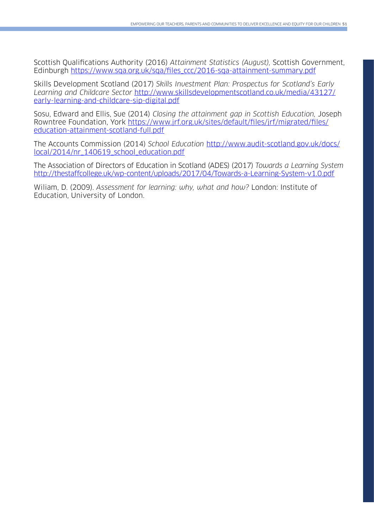Scottish Qualifications Authority (2016) Attainment Statistics (August), Scottish Government, Edinburgh https://www.sqa.org.uk/sqa/files\_ccc/2016-sqa-attainment-summary.pdf

Skills Development Scotland (2017) Skills Investment Plan: Prospectus for Scotland's Early Learning and Childcare Sector [http://www.skillsdevelopmentscotland.co.uk/media/43127/](http://www.skillsdevelopmentscotland.co.uk/media/43127/early-learning-and-childcare-sip-digital.pdf) [early-learning-and-childcare-sip-digital.pdf](http://www.skillsdevelopmentscotland.co.uk/media/43127/early-learning-and-childcare-sip-digital.pdf)

Sosu, Edward and Ellis, Sue (2014) Closing the attainment gap in Scottish Education, Joseph Rowntree Foundation, York [https://www.jrf.org.uk/sites/default/files/jrf/migrated/files/](https://www.jrf.org.uk/sites/default/files/jrf/migrated/files/education-attainment-scotland-full.pdf) [education-attainment-scotland-full.pdf](https://www.jrf.org.uk/sites/default/files/jrf/migrated/files/education-attainment-scotland-full.pdf)

The Accounts Commission (2014) School Education [http://www.audit-scotland.gov.uk/docs/](http://www.audit-scotland.gov.uk/docs/local/2014/nr_140619_school_education.pdf) [local/2014/nr\\_140619\\_school\\_education.pdf](http://www.audit-scotland.gov.uk/docs/local/2014/nr_140619_school_education.pdf)

The Association of Directors of Education in Scotland (ADES) (2017) Towards a Learning System <http://thestaffcollege.uk/wp-content/uploads/2017/04/Towards-a-Learning-System-v1.0.pdf>

Wiliam, D. (2009). Assessment for learning: why, what and how? London: Institute of Education, University of London.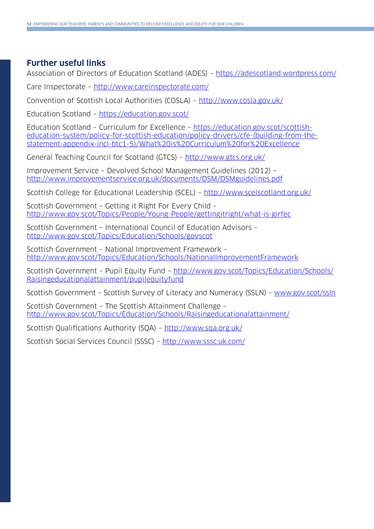#### **Further useful links**

Association of Directors of Education Scotland (ADES) – <https://adescotland.wordpress.com/>

Care Inspectorate –<http://www.careinspectorate.com/>

Convention of Scottish Local Authorities (COSLA) – <http://www.cosla.gov.uk/>

Education Scotland – <https://education.gov.scot/>

Education Scotland – Curriculum for Excellence – [https://education.gov.scot/scottish](https://education.gov.scot/scottish-education-system/policy-for-scottish-education/policy-drivers/cfe-(building-from-the-statement-appendix-incl-btc1-5)/What%20is%20Curriculum%20for%20Excellence)[education-system/policy-for-scottish-education/policy-drivers/cfe-\(building-from-the](https://education.gov.scot/scottish-education-system/policy-for-scottish-education/policy-drivers/cfe-(building-from-the-statement-appendix-incl-btc1-5)/What%20is%20Curriculum%20for%20Excellence)[statement-appendix-incl-btc1-5\)/What%20is%20Curriculum%20for%20Excellence](https://education.gov.scot/scottish-education-system/policy-for-scottish-education/policy-drivers/cfe-(building-from-the-statement-appendix-incl-btc1-5)/What%20is%20Curriculum%20for%20Excellence)

General Teaching Council for Scotland (GTCS) – <http://www.gtcs.org.uk/>

Improvement Service – Devolved School Management Guidelines (2012) – <http://www.improvementservice.org.uk/documents/DSM/DSMguidelines.pdf>

Scottish College for Educational Leadership (SCEL) – <http://www.scelscotland.org.uk/>

Scottish Government – Getting it Right For Every Child – <http://www.gov.scot/Topics/People/Young-People/gettingitright/what-is-girfec>

Scottish Government – International Council of Education Advisors – <http://www.gov.scot/Topics/Education/Schools/govscot>

Scottish Government – National Improvement Framework – <http://www.gov.scot/Topics/Education/Schools/NationalImprovementFramework>

Scottish Government – Pupil Equity Fund – [http://www.gov.scot/Topics/Education/Schools/](http://www.gov.scot/Topics/Education/Schools/Raisingeducationalattainment/pupilequityfund) [Raisingeducationalattainment/pupilequityfund](http://www.gov.scot/Topics/Education/Schools/Raisingeducationalattainment/pupilequityfund)

Scottish Government – Scottish Survey of Literacy and Numeracy (SSLN) – [www.gov.scot/ssln](http://www.gov.scot/ssln)

Scottish Government – The Scottish Attainment Challenge – <http://www.gov.scot/Topics/Education/Schools/Raisingeducationalattainment/>

Scottish Qualifications Authority (SQA) – <http://www.sqa.org.uk/>

Scottish Social Services Council (SSSC) – <http://www.sssc.uk.com/>